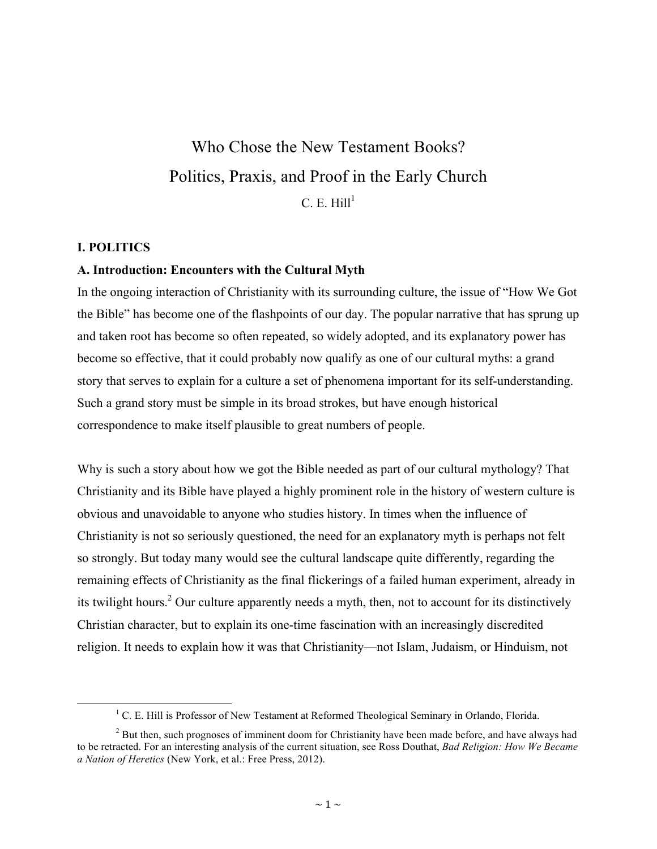# Who Chose the New Testament Books? Politics, Praxis, and Proof in the Early Church  $C$  E. Hill<sup>1</sup>

#### **I. POLITICS**

#### **A. Introduction: Encounters with the Cultural Myth**

In the ongoing interaction of Christianity with its surrounding culture, the issue of "How We Got the Bible" has become one of the flashpoints of our day. The popular narrative that has sprung up and taken root has become so often repeated, so widely adopted, and its explanatory power has become so effective, that it could probably now qualify as one of our cultural myths: a grand story that serves to explain for a culture a set of phenomena important for its self-understanding. Such a grand story must be simple in its broad strokes, but have enough historical correspondence to make itself plausible to great numbers of people.

Why is such a story about how we got the Bible needed as part of our cultural mythology? That Christianity and its Bible have played a highly prominent role in the history of western culture is obvious and unavoidable to anyone who studies history. In times when the influence of Christianity is not so seriously questioned, the need for an explanatory myth is perhaps not felt so strongly. But today many would see the cultural landscape quite differently, regarding the remaining effects of Christianity as the final flickerings of a failed human experiment, already in its twilight hours. <sup>2</sup> Our culture apparently needs a myth, then, not to account for its distinctively Christian character, but to explain its one-time fascination with an increasingly discredited religion. It needs to explain how it was that Christianity—not Islam, Judaism, or Hinduism, not

<sup>&</sup>lt;sup>1</sup> C. E. Hill is Professor of New Testament at Reformed Theological Seminary in Orlando, Florida.

<sup>&</sup>lt;sup>2</sup> But then, such prognoses of imminent doom for Christianity have been made before, and have always had to be retracted. For an interesting analysis of the current situation, see Ross Douthat, *Bad Religion: How We Became a Nation of Heretics* (New York, et al.: Free Press, 2012).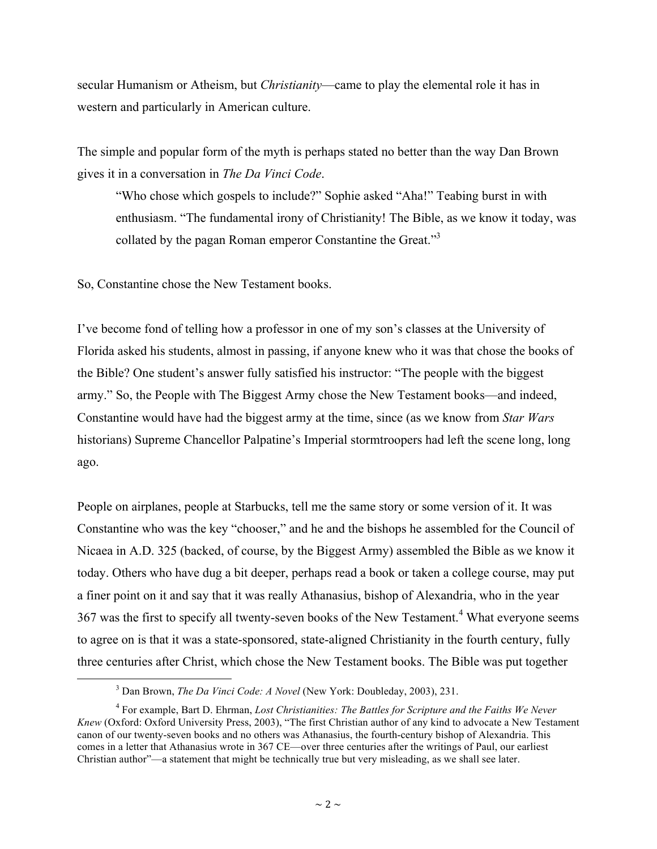secular Humanism or Atheism, but *Christianity*—came to play the elemental role it has in western and particularly in American culture.

The simple and popular form of the myth is perhaps stated no better than the way Dan Brown gives it in a conversation in *The Da Vinci Code*.

"Who chose which gospels to include?" Sophie asked "Aha!" Teabing burst in with enthusiasm. "The fundamental irony of Christianity! The Bible, as we know it today, was collated by the pagan Roman emperor Constantine the Great."3

So, Constantine chose the New Testament books.

I've become fond of telling how a professor in one of my son's classes at the University of Florida asked his students, almost in passing, if anyone knew who it was that chose the books of the Bible? One student's answer fully satisfied his instructor: "The people with the biggest army." So, the People with The Biggest Army chose the New Testament books—and indeed, Constantine would have had the biggest army at the time, since (as we know from *Star Wars*  historians) Supreme Chancellor Palpatine's Imperial stormtroopers had left the scene long, long ago.

People on airplanes, people at Starbucks, tell me the same story or some version of it. It was Constantine who was the key "chooser," and he and the bishops he assembled for the Council of Nicaea in A.D. 325 (backed, of course, by the Biggest Army) assembled the Bible as we know it today. Others who have dug a bit deeper, perhaps read a book or taken a college course, may put a finer point on it and say that it was really Athanasius, bishop of Alexandria, who in the year 367 was the first to specify all twenty-seven books of the New Testament.<sup>4</sup> What everyone seems to agree on is that it was a state-sponsored, state-aligned Christianity in the fourth century, fully three centuries after Christ, which chose the New Testament books. The Bible was put together

 <sup>3</sup> Dan Brown, *The Da Vinci Code: A Novel* (New York: Doubleday, 2003), 231.

<sup>4</sup> For example, Bart D. Ehrman, *Lost Christianities: The Battles for Scripture and the Faiths We Never Knew* (Oxford: Oxford University Press, 2003), "The first Christian author of any kind to advocate a New Testament canon of our twenty-seven books and no others was Athanasius, the fourth-century bishop of Alexandria. This comes in a letter that Athanasius wrote in 367 CE—over three centuries after the writings of Paul, our earliest Christian author"—a statement that might be technically true but very misleading, as we shall see later.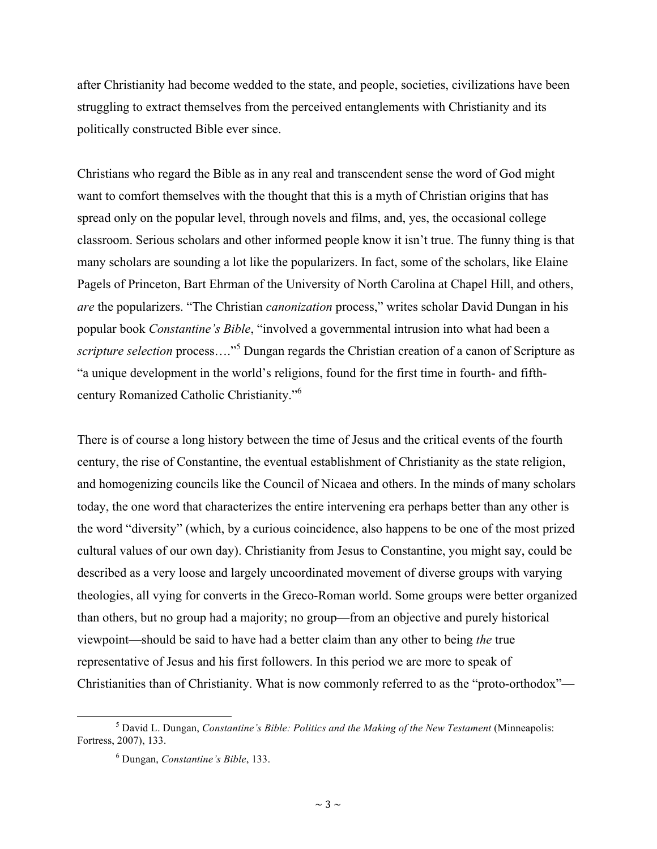after Christianity had become wedded to the state, and people, societies, civilizations have been struggling to extract themselves from the perceived entanglements with Christianity and its politically constructed Bible ever since.

Christians who regard the Bible as in any real and transcendent sense the word of God might want to comfort themselves with the thought that this is a myth of Christian origins that has spread only on the popular level, through novels and films, and, yes, the occasional college classroom. Serious scholars and other informed people know it isn't true. The funny thing is that many scholars are sounding a lot like the popularizers. In fact, some of the scholars, like Elaine Pagels of Princeton, Bart Ehrman of the University of North Carolina at Chapel Hill, and others, *are* the popularizers. "The Christian *canonization* process," writes scholar David Dungan in his popular book *Constantine's Bible*, "involved a governmental intrusion into what had been a scripture selection process...."<sup>5</sup> Dungan regards the Christian creation of a canon of Scripture as "a unique development in the world's religions, found for the first time in fourth- and fifthcentury Romanized Catholic Christianity."<sup>6</sup>

There is of course a long history between the time of Jesus and the critical events of the fourth century, the rise of Constantine, the eventual establishment of Christianity as the state religion, and homogenizing councils like the Council of Nicaea and others. In the minds of many scholars today, the one word that characterizes the entire intervening era perhaps better than any other is the word "diversity" (which, by a curious coincidence, also happens to be one of the most prized cultural values of our own day). Christianity from Jesus to Constantine, you might say, could be described as a very loose and largely uncoordinated movement of diverse groups with varying theologies, all vying for converts in the Greco-Roman world. Some groups were better organized than others, but no group had a majority; no group—from an objective and purely historical viewpoint—should be said to have had a better claim than any other to being *the* true representative of Jesus and his first followers. In this period we are more to speak of Christianities than of Christianity. What is now commonly referred to as the "proto-orthodox"—

 <sup>5</sup> David L. Dungan, *Constantine's Bible: Politics and the Making of the New Testament* (Minneapolis: Fortress, 2007), 133.

<sup>6</sup> Dungan, *Constantine's Bible*, 133.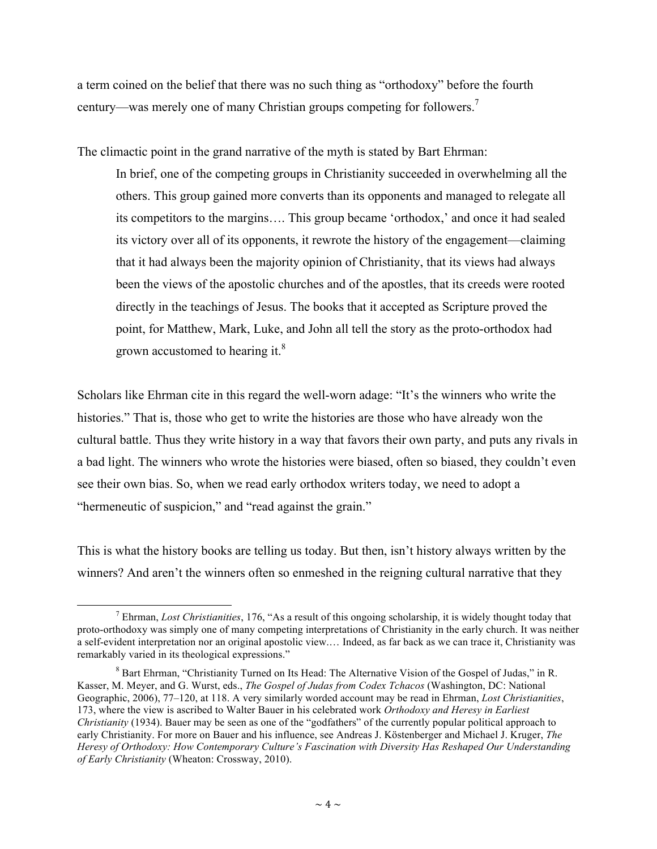a term coined on the belief that there was no such thing as "orthodoxy" before the fourth century—was merely one of many Christian groups competing for followers.<sup>7</sup>

The climactic point in the grand narrative of the myth is stated by Bart Ehrman:

In brief, one of the competing groups in Christianity succeeded in overwhelming all the others. This group gained more converts than its opponents and managed to relegate all its competitors to the margins…. This group became 'orthodox,' and once it had sealed its victory over all of its opponents, it rewrote the history of the engagement—claiming that it had always been the majority opinion of Christianity, that its views had always been the views of the apostolic churches and of the apostles, that its creeds were rooted directly in the teachings of Jesus. The books that it accepted as Scripture proved the point, for Matthew, Mark, Luke, and John all tell the story as the proto-orthodox had grown accustomed to hearing it.<sup>8</sup>

Scholars like Ehrman cite in this regard the well-worn adage: "It's the winners who write the histories." That is, those who get to write the histories are those who have already won the cultural battle. Thus they write history in a way that favors their own party, and puts any rivals in a bad light. The winners who wrote the histories were biased, often so biased, they couldn't even see their own bias. So, when we read early orthodox writers today, we need to adopt a "hermeneutic of suspicion," and "read against the grain."

This is what the history books are telling us today. But then, isn't history always written by the winners? And aren't the winners often so enmeshed in the reigning cultural narrative that they

 <sup>7</sup> Ehrman, *Lost Christianities*, 176, "As a result of this ongoing scholarship, it is widely thought today that proto-orthodoxy was simply one of many competing interpretations of Christianity in the early church. It was neither a self-evident interpretation nor an original apostolic view.… Indeed, as far back as we can trace it, Christianity was remarkably varied in its theological expressions."

<sup>&</sup>lt;sup>8</sup> Bart Ehrman, "Christianity Turned on Its Head: The Alternative Vision of the Gospel of Judas," in R. Kasser, M. Meyer, and G. Wurst, eds., *The Gospel of Judas from Codex Tchacos* (Washington, DC: National Geographic, 2006), 77–120, at 118. A very similarly worded account may be read in Ehrman, *Lost Christianities*, 173, where the view is ascribed to Walter Bauer in his celebrated work *Orthodoxy and Heresy in Earliest Christianity* (1934). Bauer may be seen as one of the "godfathers" of the currently popular political approach to early Christianity. For more on Bauer and his influence, see Andreas J. Köstenberger and Michael J. Kruger, *The Heresy of Orthodoxy: How Contemporary Culture's Fascination with Diversity Has Reshaped Our Understanding of Early Christianity* (Wheaton: Crossway, 2010).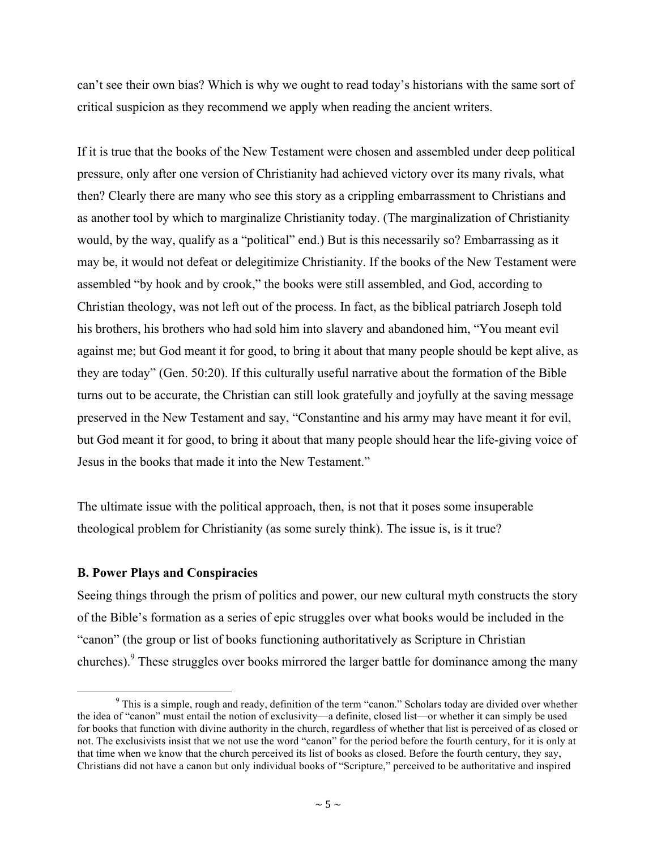can't see their own bias? Which is why we ought to read today's historians with the same sort of critical suspicion as they recommend we apply when reading the ancient writers.

If it is true that the books of the New Testament were chosen and assembled under deep political pressure, only after one version of Christianity had achieved victory over its many rivals, what then? Clearly there are many who see this story as a crippling embarrassment to Christians and as another tool by which to marginalize Christianity today. (The marginalization of Christianity would, by the way, qualify as a "political" end.) But is this necessarily so? Embarrassing as it may be, it would not defeat or delegitimize Christianity. If the books of the New Testament were assembled "by hook and by crook," the books were still assembled, and God, according to Christian theology, was not left out of the process. In fact, as the biblical patriarch Joseph told his brothers, his brothers who had sold him into slavery and abandoned him, "You meant evil against me; but God meant it for good, to bring it about that many people should be kept alive, as they are today" (Gen. 50:20). If this culturally useful narrative about the formation of the Bible turns out to be accurate, the Christian can still look gratefully and joyfully at the saving message preserved in the New Testament and say, "Constantine and his army may have meant it for evil, but God meant it for good, to bring it about that many people should hear the life-giving voice of Jesus in the books that made it into the New Testament."

The ultimate issue with the political approach, then, is not that it poses some insuperable theological problem for Christianity (as some surely think). The issue is, is it true?

# **B. Power Plays and Conspiracies**

Seeing things through the prism of politics and power, our new cultural myth constructs the story of the Bible's formation as a series of epic struggles over what books would be included in the "canon" (the group or list of books functioning authoritatively as Scripture in Christian churches).<sup>9</sup> These struggles over books mirrored the larger battle for dominance among the many

<sup>&</sup>lt;sup>9</sup> This is a simple, rough and ready, definition of the term "canon." Scholars today are divided over whether the idea of "canon" must entail the notion of exclusivity—a definite, closed list—or whether it can simply be used for books that function with divine authority in the church, regardless of whether that list is perceived of as closed or not. The exclusivists insist that we not use the word "canon" for the period before the fourth century, for it is only at that time when we know that the church perceived its list of books as closed. Before the fourth century, they say, Christians did not have a canon but only individual books of "Scripture," perceived to be authoritative and inspired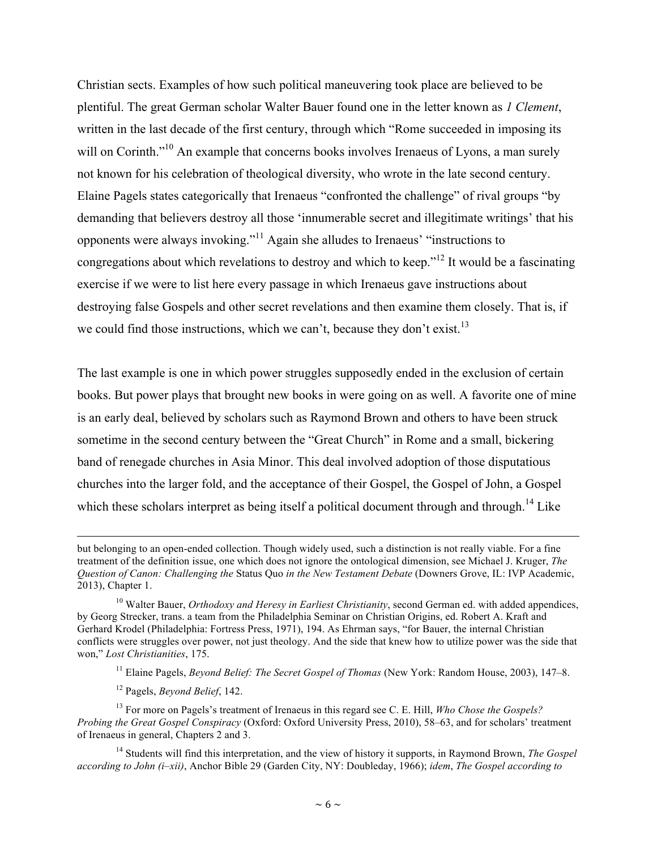Christian sects. Examples of how such political maneuvering took place are believed to be plentiful. The great German scholar Walter Bauer found one in the letter known as *1 Clement*, written in the last decade of the first century, through which "Rome succeeded in imposing its will on Corinth."<sup>10</sup> An example that concerns books involves Irenaeus of Lyons, a man surely not known for his celebration of theological diversity, who wrote in the late second century. Elaine Pagels states categorically that Irenaeus "confronted the challenge" of rival groups "by demanding that believers destroy all those 'innumerable secret and illegitimate writings' that his opponents were always invoking."<sup>11</sup> Again she alludes to Irenaeus' "instructions to congregations about which revelations to destroy and which to keep."12 It would be a fascinating exercise if we were to list here every passage in which Irenaeus gave instructions about destroying false Gospels and other secret revelations and then examine them closely. That is, if we could find those instructions, which we can't, because they don't exist.<sup>13</sup>

The last example is one in which power struggles supposedly ended in the exclusion of certain books. But power plays that brought new books in were going on as well. A favorite one of mine is an early deal, believed by scholars such as Raymond Brown and others to have been struck sometime in the second century between the "Great Church" in Rome and a small, bickering band of renegade churches in Asia Minor. This deal involved adoption of those disputatious churches into the larger fold, and the acceptance of their Gospel, the Gospel of John, a Gospel which these scholars interpret as being itself a political document through and through.<sup>14</sup> Like

<sup>11</sup> Elaine Pagels, *Beyond Belief: The Secret Gospel of Thomas* (New York: Random House, 2003), 147–8.

<sup>12</sup> Pagels, *Beyond Belief*, 142.

but belonging to an open-ended collection. Though widely used, such a distinction is not really viable. For a fine treatment of the definition issue, one which does not ignore the ontological dimension, see Michael J. Kruger, *The Question of Canon: Challenging the* Status Quo *in the New Testament Debate* (Downers Grove, IL: IVP Academic, 2013), Chapter 1.

<sup>&</sup>lt;sup>10</sup> Walter Bauer, *Orthodoxy and Heresy in Earliest Christianity*, second German ed. with added appendices, by Georg Strecker, trans. a team from the Philadelphia Seminar on Christian Origins, ed. Robert A. Kraft and Gerhard Krodel (Philadelphia: Fortress Press, 1971), 194. As Ehrman says, "for Bauer, the internal Christian conflicts were struggles over power, not just theology. And the side that knew how to utilize power was the side that won," *Lost Christianities*, 175.

<sup>13</sup> For more on Pagels's treatment of Irenaeus in this regard see C. E. Hill, *Who Chose the Gospels? Probing the Great Gospel Conspiracy* (Oxford: Oxford University Press, 2010), 58–63, and for scholars' treatment of Irenaeus in general, Chapters 2 and 3.

<sup>&</sup>lt;sup>14</sup> Students will find this interpretation, and the view of history it supports, in Raymond Brown, *The Gospel according to John (i–xii)*, Anchor Bible 29 (Garden City, NY: Doubleday, 1966); *idem*, *The Gospel according to*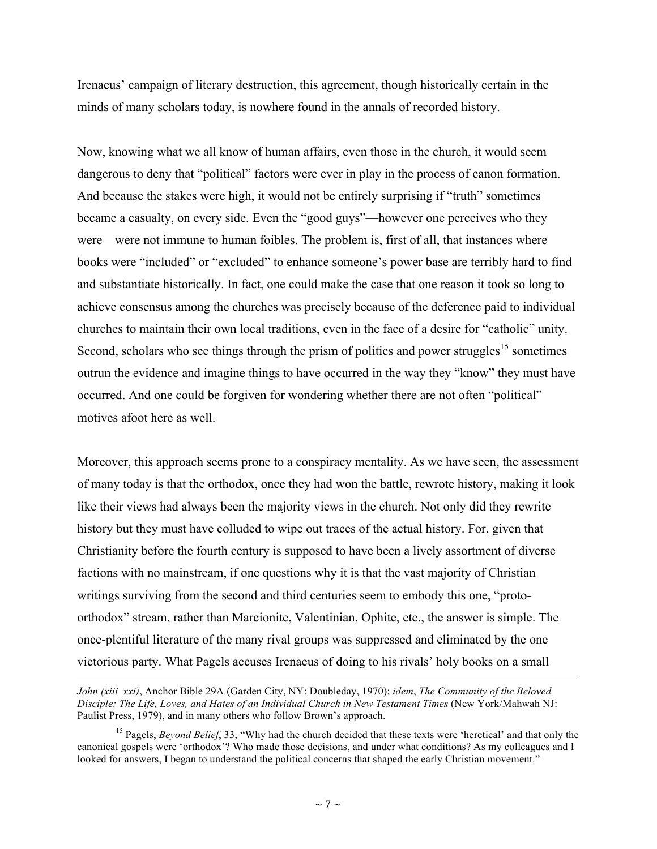Irenaeus' campaign of literary destruction, this agreement, though historically certain in the minds of many scholars today, is nowhere found in the annals of recorded history.

Now, knowing what we all know of human affairs, even those in the church, it would seem dangerous to deny that "political" factors were ever in play in the process of canon formation. And because the stakes were high, it would not be entirely surprising if "truth" sometimes became a casualty, on every side. Even the "good guys"—however one perceives who they were—were not immune to human foibles. The problem is, first of all, that instances where books were "included" or "excluded" to enhance someone's power base are terribly hard to find and substantiate historically. In fact, one could make the case that one reason it took so long to achieve consensus among the churches was precisely because of the deference paid to individual churches to maintain their own local traditions, even in the face of a desire for "catholic" unity. Second, scholars who see things through the prism of politics and power struggles<sup>15</sup> sometimes outrun the evidence and imagine things to have occurred in the way they "know" they must have occurred. And one could be forgiven for wondering whether there are not often "political" motives afoot here as well.

Moreover, this approach seems prone to a conspiracy mentality. As we have seen, the assessment of many today is that the orthodox, once they had won the battle, rewrote history, making it look like their views had always been the majority views in the church. Not only did they rewrite history but they must have colluded to wipe out traces of the actual history. For, given that Christianity before the fourth century is supposed to have been a lively assortment of diverse factions with no mainstream, if one questions why it is that the vast majority of Christian writings surviving from the second and third centuries seem to embody this one, "protoorthodox" stream, rather than Marcionite, Valentinian, Ophite, etc., the answer is simple. The once-plentiful literature of the many rival groups was suppressed and eliminated by the one victorious party. What Pagels accuses Irenaeus of doing to his rivals' holy books on a small

 $\overline{a}$ 

*John (xiii–xxi)*, Anchor Bible 29A (Garden City, NY: Doubleday, 1970); *idem*, *The Community of the Beloved Disciple: The Life, Loves, and Hates of an Individual Church in New Testament Times* (New York/Mahwah NJ: Paulist Press, 1979), and in many others who follow Brown's approach.

<sup>&</sup>lt;sup>15</sup> Pagels, *Beyond Belief*, 33, "Why had the church decided that these texts were 'heretical' and that only the canonical gospels were 'orthodox'? Who made those decisions, and under what conditions? As my colleagues and I looked for answers, I began to understand the political concerns that shaped the early Christian movement."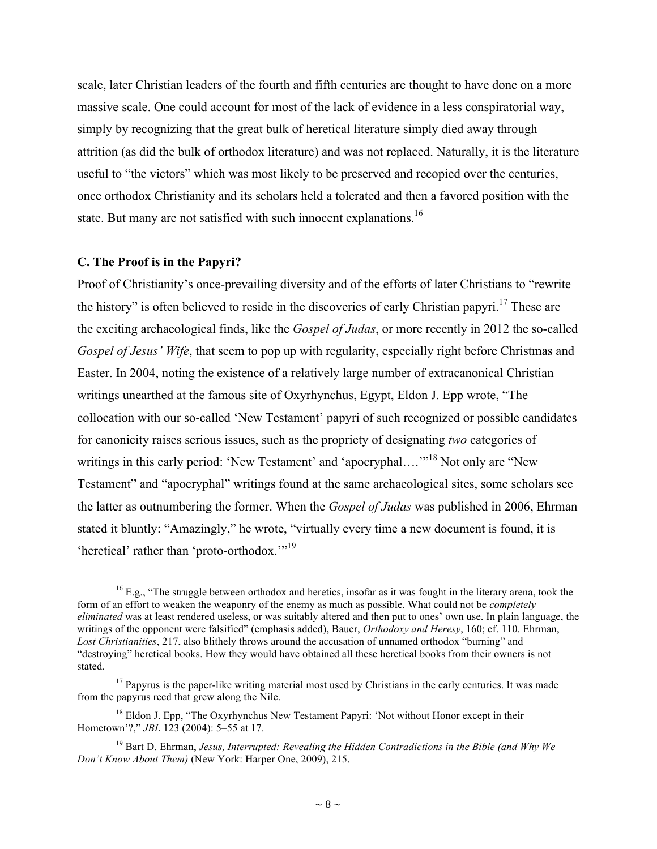scale, later Christian leaders of the fourth and fifth centuries are thought to have done on a more massive scale. One could account for most of the lack of evidence in a less conspiratorial way, simply by recognizing that the great bulk of heretical literature simply died away through attrition (as did the bulk of orthodox literature) and was not replaced. Naturally, it is the literature useful to "the victors" which was most likely to be preserved and recopied over the centuries, once orthodox Christianity and its scholars held a tolerated and then a favored position with the state. But many are not satisfied with such innocent explanations.<sup>16</sup>

#### **C. The Proof is in the Papyri?**

Proof of Christianity's once-prevailing diversity and of the efforts of later Christians to "rewrite the history" is often believed to reside in the discoveries of early Christian papyri.<sup>17</sup> These are the exciting archaeological finds, like the *Gospel of Judas*, or more recently in 2012 the so-called *Gospel of Jesus' Wife*, that seem to pop up with regularity, especially right before Christmas and Easter. In 2004, noting the existence of a relatively large number of extracanonical Christian writings unearthed at the famous site of Oxyrhynchus, Egypt, Eldon J. Epp wrote, "The collocation with our so-called 'New Testament' papyri of such recognized or possible candidates for canonicity raises serious issues, such as the propriety of designating *two* categories of writings in this early period: 'New Testament' and 'apocryphal....'"<sup>18</sup> Not only are "New Testament" and "apocryphal" writings found at the same archaeological sites, some scholars see the latter as outnumbering the former. When the *Gospel of Judas* was published in 2006, Ehrman stated it bluntly: "Amazingly," he wrote, "virtually every time a new document is found, it is 'heretical' rather than 'proto-orthodox.'"19

 $16$  E.g., "The struggle between orthodox and heretics, insofar as it was fought in the literary arena, took the form of an effort to weaken the weaponry of the enemy as much as possible. What could not be *completely eliminated* was at least rendered useless, or was suitably altered and then put to ones' own use. In plain language, the writings of the opponent were falsified" (emphasis added), Bauer, *Orthodoxy and Heresy*, 160; cf. 110. Ehrman, *Lost Christianities*, 217, also blithely throws around the accusation of unnamed orthodox "burning" and "destroying" heretical books. How they would have obtained all these heretical books from their owners is not stated.

 $17$  Papyrus is the paper-like writing material most used by Christians in the early centuries. It was made from the papyrus reed that grew along the Nile.

 $18$  Eldon J. Epp, "The Oxyrhynchus New Testament Papyri: 'Not without Honor except in their Hometown'?," *JBL* 123 (2004): 5–55 at 17.

<sup>19</sup> Bart D. Ehrman, *Jesus, Interrupted: Revealing the Hidden Contradictions in the Bible (and Why We Don't Know About Them)* (New York: Harper One, 2009), 215.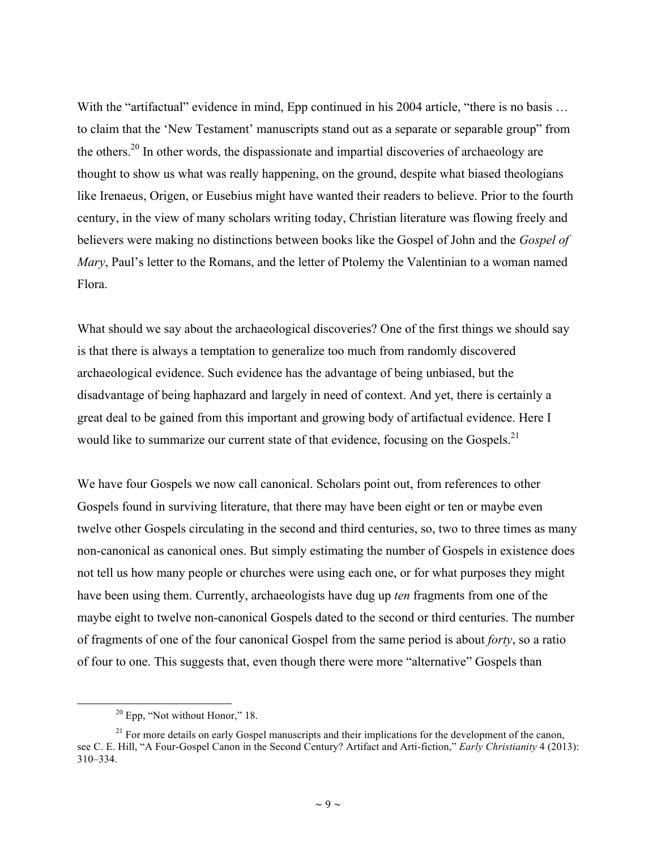With the "artifactual" evidence in mind, Epp continued in his 2004 article, "there is no basis ... to claim that the 'New Testament' manuscripts stand out as a separate or separable group" from the others.<sup>20</sup> In other words, the dispassionate and impartial discoveries of archaeology are thought to show us what was really happening, on the ground, despite what biased theologians like Irenaeus, Origen, or Eusebius might have wanted their readers to believe. Prior to the fourth century, in the view of many scholars writing today, Christian literature was flowing freely and believers were making no distinctions between books like the Gospel of John and the *Gospel of Mary*, Paul's letter to the Romans, and the letter of Ptolemy the Valentinian to a woman named Flora.

What should we say about the archaeological discoveries? One of the first things we should say is that there is always a temptation to generalize too much from randomly discovered archaeological evidence. Such evidence has the advantage of being unbiased, but the disadvantage of being haphazard and largely in need of context. And yet, there is certainly a great deal to be gained from this important and growing body of artifactual evidence. Here I would like to summarize our current state of that evidence, focusing on the Gospels. $^{21}$ 

We have four Gospels we now call canonical. Scholars point out, from references to other Gospels found in surviving literature, that there may have been eight or ten or maybe even twelve other Gospels circulating in the second and third centuries, so, two to three times as many non-canonical as canonical ones. But simply estimating the number of Gospels in existence does not tell us how many people or churches were using each one, or for what purposes they might have been using them. Currently, archaeologists have dug up *ten* fragments from one of the maybe eight to twelve non-canonical Gospels dated to the second or third centuries. The number of fragments of one of the four canonical Gospel from the same period is about *forty*, so a ratio of four to one. This suggests that, even though there were more "alternative" Gospels than

 $20$  Epp, "Not without Honor," 18.

<sup>&</sup>lt;sup>21</sup> For more details on early Gospel manuscripts and their implications for the development of the canon, see C. E. Hill, "A Four-Gospel Canon in the Second Century? Artifact and Arti-fiction," *Early Christianity* 4 (2013): 310–334.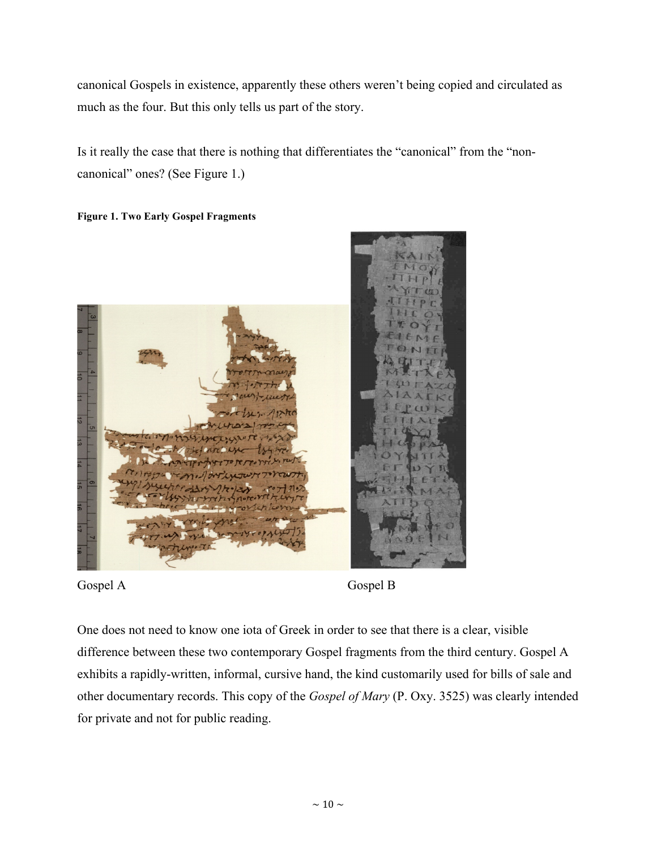canonical Gospels in existence, apparently these others weren't being copied and circulated as much as the four. But this only tells us part of the story.

Is it really the case that there is nothing that differentiates the "canonical" from the "noncanonical" ones? (See Figure 1.)

**Figure 1. Two Early Gospel Fragments**



Gospel A Gospel B

One does not need to know one iota of Greek in order to see that there is a clear, visible difference between these two contemporary Gospel fragments from the third century. Gospel A exhibits a rapidly-written, informal, cursive hand, the kind customarily used for bills of sale and other documentary records. This copy of the *Gospel of Mary* (P. Oxy. 3525) was clearly intended for private and not for public reading.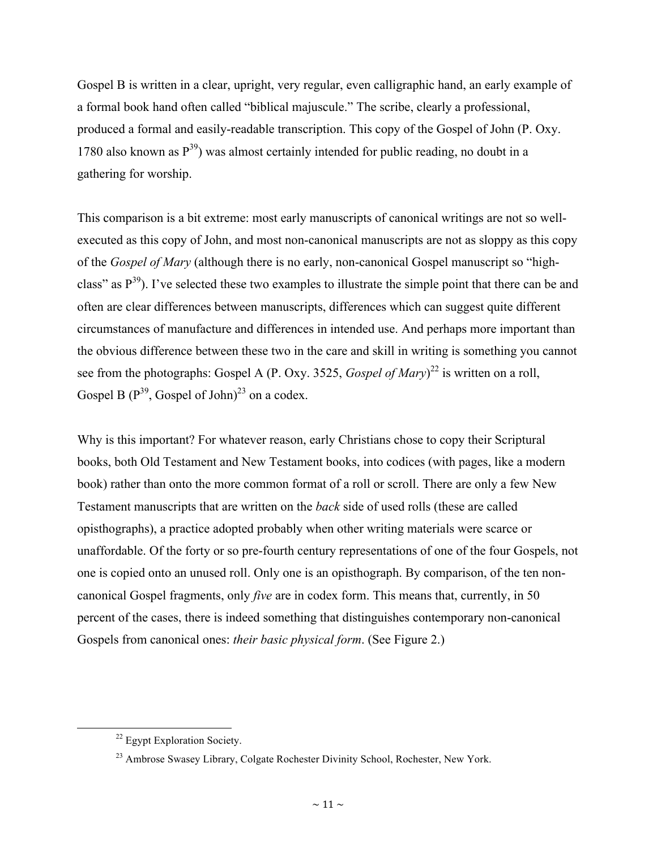Gospel B is written in a clear, upright, very regular, even calligraphic hand, an early example of a formal book hand often called "biblical majuscule." The scribe, clearly a professional, produced a formal and easily-readable transcription. This copy of the Gospel of John (P. Oxy. 1780 also known as  $P^{39}$ ) was almost certainly intended for public reading, no doubt in a gathering for worship.

This comparison is a bit extreme: most early manuscripts of canonical writings are not so wellexecuted as this copy of John, and most non-canonical manuscripts are not as sloppy as this copy of the *Gospel of Mary* (although there is no early, non-canonical Gospel manuscript so "highclass" as  $P^{39}$ ). I've selected these two examples to illustrate the simple point that there can be and often are clear differences between manuscripts, differences which can suggest quite different circumstances of manufacture and differences in intended use. And perhaps more important than the obvious difference between these two in the care and skill in writing is something you cannot see from the photographs: Gospel A (P. Oxy. 3525, *Gospel of Mary*)<sup>22</sup> is written on a roll, Gospel B  $(P^{39}, G^{39})$  Gospel of John<sup>23</sup> on a codex.

Why is this important? For whatever reason, early Christians chose to copy their Scriptural books, both Old Testament and New Testament books, into codices (with pages, like a modern book) rather than onto the more common format of a roll or scroll. There are only a few New Testament manuscripts that are written on the *back* side of used rolls (these are called opisthographs), a practice adopted probably when other writing materials were scarce or unaffordable. Of the forty or so pre-fourth century representations of one of the four Gospels, not one is copied onto an unused roll. Only one is an opisthograph. By comparison, of the ten noncanonical Gospel fragments, only *five* are in codex form. This means that, currently, in 50 percent of the cases, there is indeed something that distinguishes contemporary non-canonical Gospels from canonical ones: *their basic physical form*. (See Figure 2.)

<sup>&</sup>lt;sup>22</sup> Egypt Exploration Society.

<sup>&</sup>lt;sup>23</sup> Ambrose Swasey Library, Colgate Rochester Divinity School, Rochester, New York.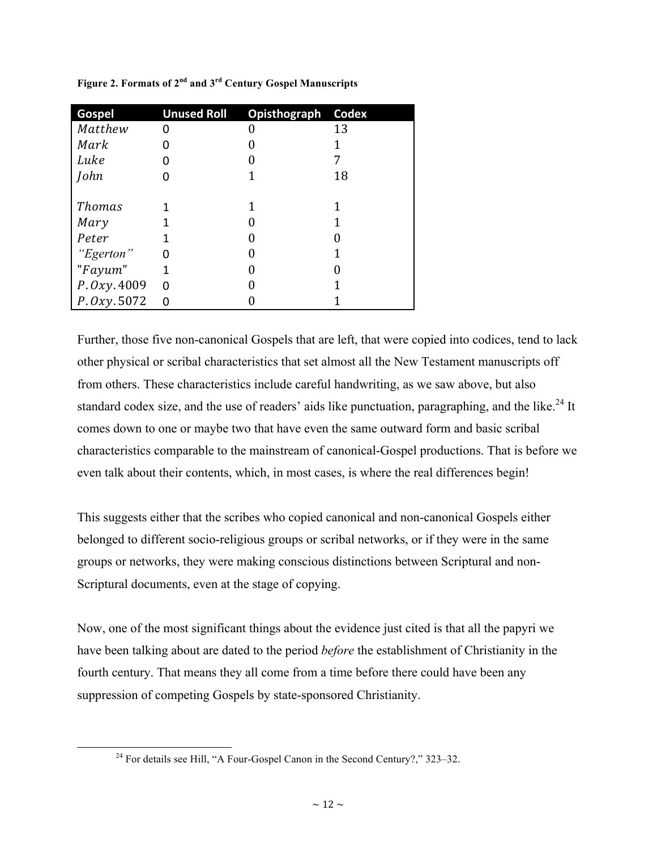| <b>Gospel</b> | <b>Unused Roll</b> | Opisthograph | <b>Codex</b> |
|---------------|--------------------|--------------|--------------|
| Matthew       | O                  |              | 13           |
| Mark          | O                  |              |              |
| Luke          |                    |              |              |
| John          | U                  |              | 18           |
|               |                    |              |              |
| <b>Thomas</b> |                    |              |              |
| Mary          |                    |              |              |
| Peter         | 1                  |              |              |
| "Egerton"     |                    |              |              |
| "Fayum"       | 1                  |              |              |
| P. Oxy. 4009  | 0                  |              |              |
| P. Oxy. 5072  | 0                  |              |              |

**Figure 2. Formats of 2nd and 3rd Century Gospel Manuscripts**

Further, those five non-canonical Gospels that are left, that were copied into codices, tend to lack other physical or scribal characteristics that set almost all the New Testament manuscripts off from others. These characteristics include careful handwriting, as we saw above, but also standard codex size, and the use of readers' aids like punctuation, paragraphing, and the like.<sup>24</sup> It comes down to one or maybe two that have even the same outward form and basic scribal characteristics comparable to the mainstream of canonical-Gospel productions. That is before we even talk about their contents, which, in most cases, is where the real differences begin!

This suggests either that the scribes who copied canonical and non-canonical Gospels either belonged to different socio-religious groups or scribal networks, or if they were in the same groups or networks, they were making conscious distinctions between Scriptural and non-Scriptural documents, even at the stage of copying.

Now, one of the most significant things about the evidence just cited is that all the papyri we have been talking about are dated to the period *before* the establishment of Christianity in the fourth century. That means they all come from a time before there could have been any suppression of competing Gospels by state-sponsored Christianity.

 $^{24}$  For details see Hill, "A Four-Gospel Canon in the Second Century?," 323–32.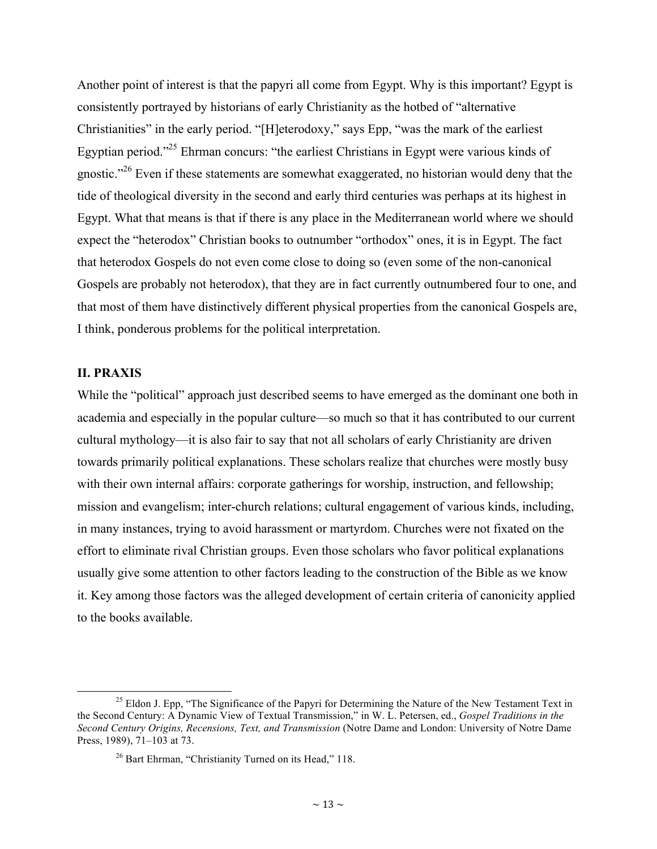Another point of interest is that the papyri all come from Egypt. Why is this important? Egypt is consistently portrayed by historians of early Christianity as the hotbed of "alternative Christianities" in the early period. "[H]eterodoxy," says Epp, "was the mark of the earliest Egyptian period."<sup>25</sup> Ehrman concurs: "the earliest Christians in Egypt were various kinds of gnostic."<sup>26</sup> Even if these statements are somewhat exaggerated, no historian would deny that the tide of theological diversity in the second and early third centuries was perhaps at its highest in Egypt. What that means is that if there is any place in the Mediterranean world where we should expect the "heterodox" Christian books to outnumber "orthodox" ones, it is in Egypt. The fact that heterodox Gospels do not even come close to doing so (even some of the non-canonical Gospels are probably not heterodox), that they are in fact currently outnumbered four to one, and that most of them have distinctively different physical properties from the canonical Gospels are, I think, ponderous problems for the political interpretation.

# **II. PRAXIS**

While the "political" approach just described seems to have emerged as the dominant one both in academia and especially in the popular culture—so much so that it has contributed to our current cultural mythology—it is also fair to say that not all scholars of early Christianity are driven towards primarily political explanations. These scholars realize that churches were mostly busy with their own internal affairs: corporate gatherings for worship, instruction, and fellowship; mission and evangelism; inter-church relations; cultural engagement of various kinds, including, in many instances, trying to avoid harassment or martyrdom. Churches were not fixated on the effort to eliminate rival Christian groups. Even those scholars who favor political explanations usually give some attention to other factors leading to the construction of the Bible as we know it. Key among those factors was the alleged development of certain criteria of canonicity applied to the books available.

 $25$  Eldon J. Epp, "The Significance of the Papyri for Determining the Nature of the New Testament Text in the Second Century: A Dynamic View of Textual Transmission," in W. L. Petersen, ed., *Gospel Traditions in the Second Century Origins, Recensions, Text, and Transmission* (Notre Dame and London: University of Notre Dame Press, 1989), 71–103 at 73.

 $26$  Bart Ehrman, "Christianity Turned on its Head," 118.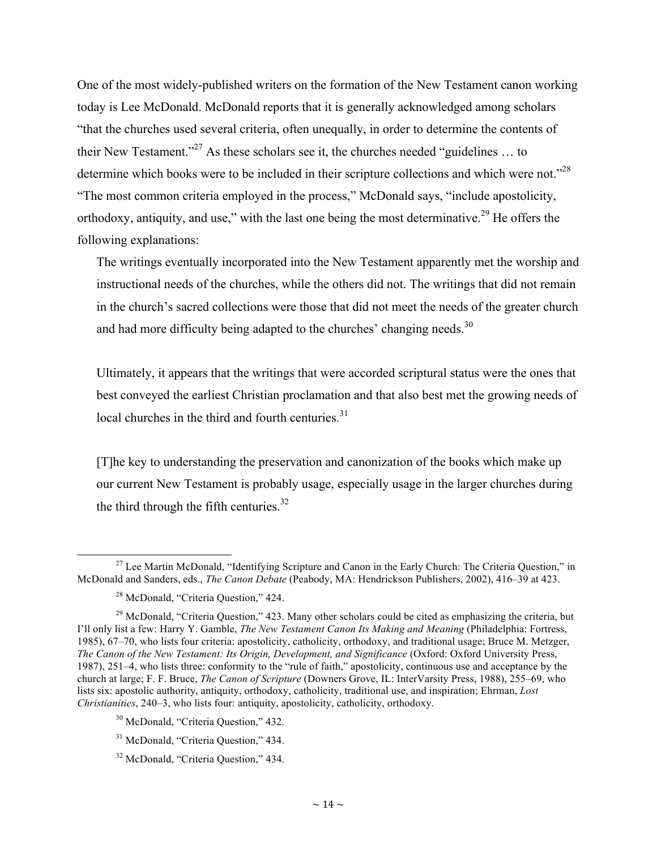One of the most widely-published writers on the formation of the New Testament canon working today is Lee McDonald. McDonald reports that it is generally acknowledged among scholars "that the churches used several criteria, often unequally, in order to determine the contents of their New Testament."<sup>27</sup> As these scholars see it, the churches needed "guidelines ... to determine which books were to be included in their scripture collections and which were not."<sup>28</sup> "The most common criteria employed in the process," McDonald says, "include apostolicity, orthodoxy, antiquity, and use," with the last one being the most determinative.<sup>29</sup> He offers the following explanations:

The writings eventually incorporated into the New Testament apparently met the worship and instructional needs of the churches, while the others did not. The writings that did not remain in the church's sacred collections were those that did not meet the needs of the greater church and had more difficulty being adapted to the churches' changing needs.<sup>30</sup>

Ultimately, it appears that the writings that were accorded scriptural status were the ones that best conveyed the earliest Christian proclamation and that also best met the growing needs of local churches in the third and fourth centuries.<sup>31</sup>

[T]he key to understanding the preservation and canonization of the books which make up our current New Testament is probably usage, especially usage in the larger churches during the third through the fifth centuries. $32$ 

 $27$  Lee Martin McDonald, "Identifying Scripture and Canon in the Early Church: The Criteria Question," in McDonald and Sanders, eds., *The Canon Debate* (Peabody, MA: Hendrickson Publishers, 2002), 416–39 at 423.

<sup>28</sup> McDonald, "Criteria Question," 424.

<sup>&</sup>lt;sup>29</sup> McDonald, "Criteria Question," 423. Many other scholars could be cited as emphasizing the criteria, but I'll only list a few: Harry Y. Gamble, *The New Testament Canon Its Making and Meaning* (Philadelphia: Fortress, 1985), 67–70, who lists four criteria: apostolicity, catholicity, orthodoxy, and traditional usage; Bruce M. Metzger, *The Canon of the New Testament: Its Origin, Development, and Significance* (Oxford: Oxford University Press, 1987), 251–4, who lists three: conformity to the "rule of faith," apostolicity, continuous use and acceptance by the church at large; F. F. Bruce, *The Canon of Scripture* (Downers Grove, IL: InterVarsity Press, 1988), 255–69, who lists six: apostolic authority, antiquity, orthodoxy, catholicity, traditional use, and inspiration; Ehrman, *Lost Christianities*, 240–3, who lists four: antiquity, apostolicity, catholicity, orthodoxy.

<sup>30</sup> McDonald, "Criteria Question," 432.

<sup>&</sup>lt;sup>31</sup> McDonald, "Criteria Question," 434.

<sup>&</sup>lt;sup>32</sup> McDonald, "Criteria Question," 434.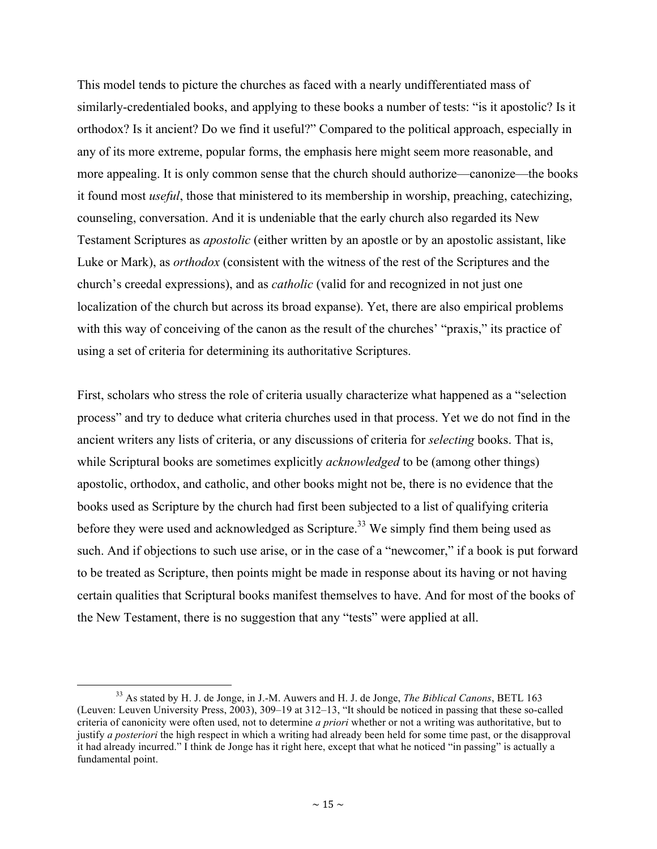This model tends to picture the churches as faced with a nearly undifferentiated mass of similarly-credentialed books, and applying to these books a number of tests: "is it apostolic? Is it orthodox? Is it ancient? Do we find it useful?" Compared to the political approach, especially in any of its more extreme, popular forms, the emphasis here might seem more reasonable, and more appealing. It is only common sense that the church should authorize—canonize—the books it found most *useful*, those that ministered to its membership in worship, preaching, catechizing, counseling, conversation. And it is undeniable that the early church also regarded its New Testament Scriptures as *apostolic* (either written by an apostle or by an apostolic assistant, like Luke or Mark), as *orthodox* (consistent with the witness of the rest of the Scriptures and the church's creedal expressions), and as *catholic* (valid for and recognized in not just one localization of the church but across its broad expanse). Yet, there are also empirical problems with this way of conceiving of the canon as the result of the churches' "praxis," its practice of using a set of criteria for determining its authoritative Scriptures.

First, scholars who stress the role of criteria usually characterize what happened as a "selection process" and try to deduce what criteria churches used in that process. Yet we do not find in the ancient writers any lists of criteria, or any discussions of criteria for *selecting* books. That is, while Scriptural books are sometimes explicitly *acknowledged* to be (among other things) apostolic, orthodox, and catholic, and other books might not be, there is no evidence that the books used as Scripture by the church had first been subjected to a list of qualifying criteria before they were used and acknowledged as Scripture.<sup>33</sup> We simply find them being used as such. And if objections to such use arise, or in the case of a "newcomer," if a book is put forward to be treated as Scripture, then points might be made in response about its having or not having certain qualities that Scriptural books manifest themselves to have. And for most of the books of the New Testament, there is no suggestion that any "tests" were applied at all.

 <sup>33</sup> As stated by H. J. de Jonge, in J.-M. Auwers and H. J. de Jonge, *The Biblical Canons*, BETL 163 (Leuven: Leuven University Press, 2003), 309–19 at 312–13, "It should be noticed in passing that these so-called criteria of canonicity were often used, not to determine *a priori* whether or not a writing was authoritative, but to justify *a posteriori* the high respect in which a writing had already been held for some time past, or the disapproval it had already incurred." I think de Jonge has it right here, except that what he noticed "in passing" is actually a fundamental point.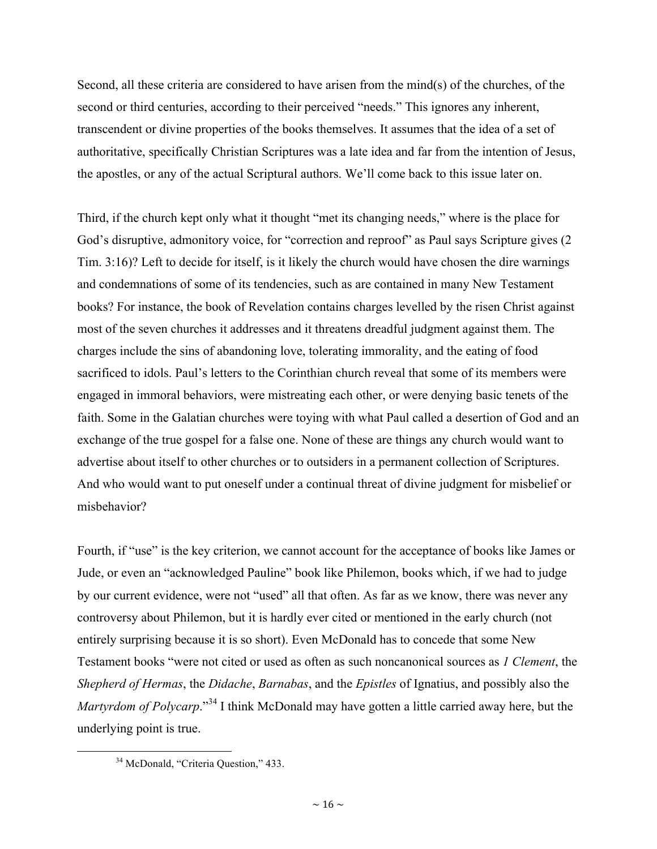Second, all these criteria are considered to have arisen from the mind(s) of the churches, of the second or third centuries, according to their perceived "needs." This ignores any inherent, transcendent or divine properties of the books themselves. It assumes that the idea of a set of authoritative, specifically Christian Scriptures was a late idea and far from the intention of Jesus, the apostles, or any of the actual Scriptural authors. We'll come back to this issue later on.

Third, if the church kept only what it thought "met its changing needs," where is the place for God's disruptive, admonitory voice, for "correction and reproof" as Paul says Scripture gives (2 Tim. 3:16)? Left to decide for itself, is it likely the church would have chosen the dire warnings and condemnations of some of its tendencies, such as are contained in many New Testament books? For instance, the book of Revelation contains charges levelled by the risen Christ against most of the seven churches it addresses and it threatens dreadful judgment against them. The charges include the sins of abandoning love, tolerating immorality, and the eating of food sacrificed to idols. Paul's letters to the Corinthian church reveal that some of its members were engaged in immoral behaviors, were mistreating each other, or were denying basic tenets of the faith. Some in the Galatian churches were toying with what Paul called a desertion of God and an exchange of the true gospel for a false one. None of these are things any church would want to advertise about itself to other churches or to outsiders in a permanent collection of Scriptures. And who would want to put oneself under a continual threat of divine judgment for misbelief or misbehavior?

Fourth, if "use" is the key criterion, we cannot account for the acceptance of books like James or Jude, or even an "acknowledged Pauline" book like Philemon, books which, if we had to judge by our current evidence, were not "used" all that often. As far as we know, there was never any controversy about Philemon, but it is hardly ever cited or mentioned in the early church (not entirely surprising because it is so short). Even McDonald has to concede that some New Testament books "were not cited or used as often as such noncanonical sources as *1 Clement*, the *Shepherd of Hermas*, the *Didache*, *Barnabas*, and the *Epistles* of Ignatius, and possibly also the *Martyrdom of Polycarp*."<sup>34</sup> I think McDonald may have gotten a little carried away here, but the underlying point is true.

<sup>&</sup>lt;sup>34</sup> McDonald, "Criteria Question," 433.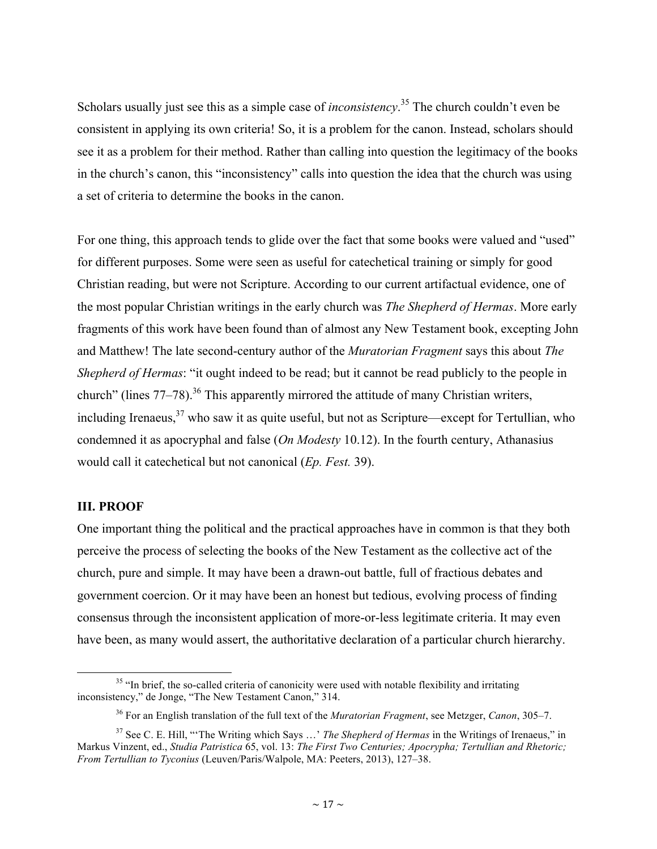Scholars usually just see this as a simple case of *inconsistency*. <sup>35</sup> The church couldn't even be consistent in applying its own criteria! So, it is a problem for the canon. Instead, scholars should see it as a problem for their method. Rather than calling into question the legitimacy of the books in the church's canon, this "inconsistency" calls into question the idea that the church was using a set of criteria to determine the books in the canon.

For one thing, this approach tends to glide over the fact that some books were valued and "used" for different purposes. Some were seen as useful for catechetical training or simply for good Christian reading, but were not Scripture. According to our current artifactual evidence, one of the most popular Christian writings in the early church was *The Shepherd of Hermas*. More early fragments of this work have been found than of almost any New Testament book, excepting John and Matthew! The late second-century author of the *Muratorian Fragment* says this about *The Shepherd of Hermas*: "it ought indeed to be read; but it cannot be read publicly to the people in church" (lines  $77-78$ ).<sup>36</sup> This apparently mirrored the attitude of many Christian writers, including Irenaeus,  $37$  who saw it as quite useful, but not as Scripture—except for Tertullian, who condemned it as apocryphal and false (*On Modesty* 10.12). In the fourth century, Athanasius would call it catechetical but not canonical (*Ep. Fest.* 39).

# **III. PROOF**

One important thing the political and the practical approaches have in common is that they both perceive the process of selecting the books of the New Testament as the collective act of the church, pure and simple. It may have been a drawn-out battle, full of fractious debates and government coercion. Or it may have been an honest but tedious, evolving process of finding consensus through the inconsistent application of more-or-less legitimate criteria. It may even have been, as many would assert, the authoritative declaration of a particular church hierarchy.

 $35$  "In brief, the so-called criteria of canonicity were used with notable flexibility and irritating inconsistency," de Jonge, "The New Testament Canon," 314.

<sup>36</sup> For an English translation of the full text of the *Muratorian Fragment*, see Metzger, *Canon*, 305–7.

<sup>37</sup> See C. E. Hill, "'The Writing which Says …' *The Shepherd of Hermas* in the Writings of Irenaeus," in Markus Vinzent, ed., *Studia Patristica* 65, vol. 13: *The First Two Centuries; Apocrypha; Tertullian and Rhetoric; From Tertullian to Tyconius* (Leuven/Paris/Walpole, MA: Peeters, 2013), 127–38.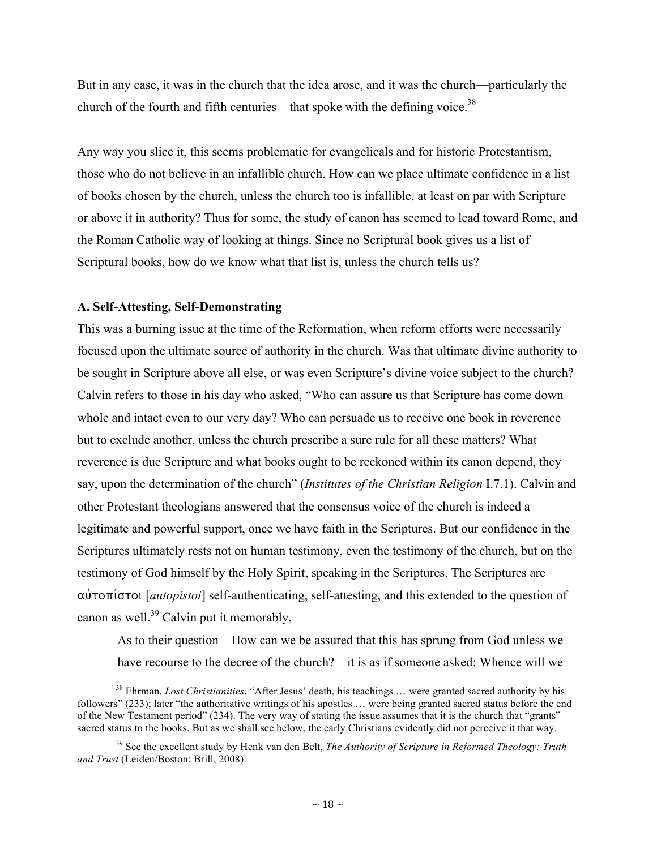But in any case, it was in the church that the idea arose, and it was the church—particularly the church of the fourth and fifth centuries—that spoke with the defining voice.<sup>38</sup>

Any way you slice it, this seems problematic for evangelicals and for historic Protestantism, those who do not believe in an infallible church. How can we place ultimate confidence in a list of books chosen by the church, unless the church too is infallible, at least on par with Scripture or above it in authority? Thus for some, the study of canon has seemed to lead toward Rome, and the Roman Catholic way of looking at things. Since no Scriptural book gives us a list of Scriptural books, how do we know what that list is, unless the church tells us?

# **A. Self-Attesting, Self-Demonstrating**

This was a burning issue at the time of the Reformation, when reform efforts were necessarily focused upon the ultimate source of authority in the church. Was that ultimate divine authority to be sought in Scripture above all else, or was even Scripture's divine voice subject to the church? Calvin refers to those in his day who asked, "Who can assure us that Scripture has come down whole and intact even to our very day? Who can persuade us to receive one book in reverence but to exclude another, unless the church prescribe a sure rule for all these matters? What reverence is due Scripture and what books ought to be reckoned within its canon depend, they say, upon the determination of the church" (*Institutes of the Christian Religion* I.7.1). Calvin and other Protestant theologians answered that the consensus voice of the church is indeed a legitimate and powerful support, once we have faith in the Scriptures. But our confidence in the Scriptures ultimately rests not on human testimony, even the testimony of the church, but on the testimony of God himself by the Holy Spirit, speaking in the Scriptures. The Scriptures are  $α\dot{v}$  τοπίστοι [*autopistoi*] self-authenticating, self-attesting, and this extended to the question of canon as well.<sup>39</sup> Calvin put it memorably,

As to their question—How can we be assured that this has sprung from God unless we have recourse to the decree of the church?—it is as if someone asked: Whence will we

 <sup>38</sup> Ehrman, *Lost Christianities*, "After Jesus' death, his teachings … were granted sacred authority by his followers" (233); later "the authoritative writings of his apostles … were being granted sacred status before the end of the New Testament period" (234). The very way of stating the issue assumes that it is the church that "grants" sacred status to the books. But as we shall see below, the early Christians evidently did not perceive it that way.

<sup>39</sup> See the excellent study by Henk van den Belt, *The Authority of Scripture in Reformed Theology: Truth and Trust* (Leiden/Boston: Brill, 2008).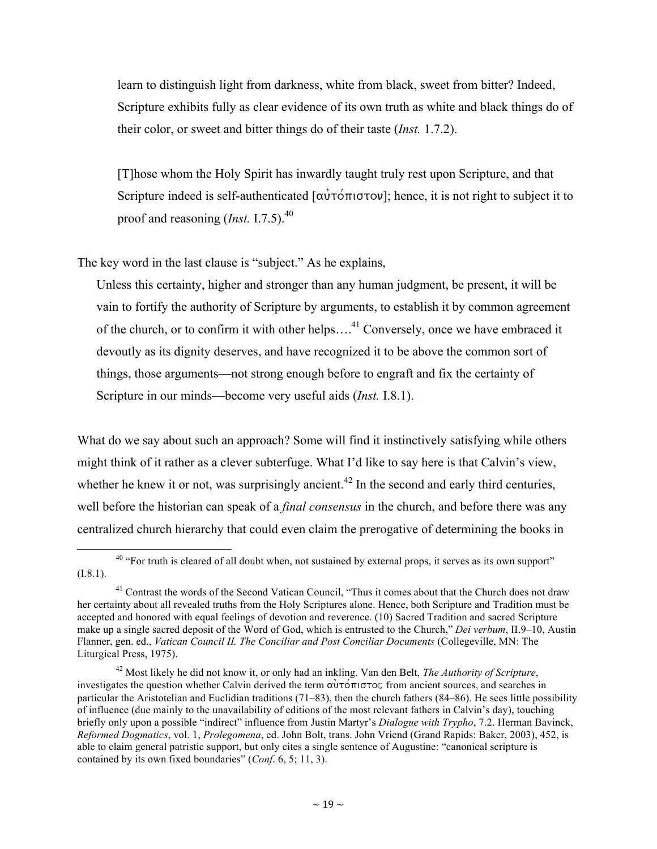learn to distinguish light from darkness, white from black, sweet from bitter? Indeed, Scripture exhibits fully as clear evidence of its own truth as white and black things do of their color, or sweet and bitter things do of their taste (*Inst.* 1.7.2).

[T]hose whom the Holy Spirit has inwardly taught truly rest upon Scripture, and that Scripture indeed is self-authenticated  $\lceil \alpha \nu \tau \circ \pi \nu \sigma \tau \circ \nu \rceil$ ; hence, it is not right to subject it to proof and reasoning (*Inst.* I.7.5).<sup>40</sup>

The key word in the last clause is "subject." As he explains,

Unless this certainty, higher and stronger than any human judgment, be present, it will be vain to fortify the authority of Scripture by arguments, to establish it by common agreement of the church, or to confirm it with other helps....<sup>41</sup> Conversely, once we have embraced it devoutly as its dignity deserves, and have recognized it to be above the common sort of things, those arguments—not strong enough before to engraft and fix the certainty of Scripture in our minds—become very useful aids (*Inst.* I.8.1).

What do we say about such an approach? Some will find it instinctively satisfying while others might think of it rather as a clever subterfuge. What I'd like to say here is that Calvin's view, whether he knew it or not, was surprisingly ancient.<sup> $42$ </sup> In the second and early third centuries, well before the historian can speak of a *final consensus* in the church, and before there was any centralized church hierarchy that could even claim the prerogative of determining the books in

 $40$  "For truth is cleared of all doubt when, not sustained by external props, it serves as its own support"  $(I.8.1).$ 

<sup>&</sup>lt;sup>41</sup> Contrast the words of the Second Vatican Council, "Thus it comes about that the Church does not draw her certainty about all revealed truths from the Holy Scriptures alone. Hence, both Scripture and Tradition must be accepted and honored with equal feelings of devotion and reverence. (10) Sacred Tradition and sacred Scripture make up a single sacred deposit of the Word of God, which is entrusted to the Church," *Dei verbum*, II.9–10, Austin Flanner, gen. ed., *Vatican Council II. The Conciliar and Post Conciliar Documents* (Collegeville, MN: The Liturgical Press, 1975).

<sup>42</sup> Most likely he did not know it, or only had an inkling. Van den Belt, *The Authority of Scripture*, investigates the question whether Calvin derived the term  $\alpha \nu \tau \alpha \tau \sigma \tau$  from ancient sources, and searches in particular the Aristotelian and Euclidian traditions (71–83), then the church fathers (84–86). He sees little possibility of influence (due mainly to the unavailability of editions of the most relevant fathers in Calvin's day), touching briefly only upon a possible "indirect" influence from Justin Martyr's *Dialogue with Trypho*, 7.2. Herman Bavinck, *Reformed Dogmatics*, vol. 1, *Prolegomena*, ed. John Bolt, trans. John Vriend (Grand Rapids: Baker, 2003), 452, is able to claim general patristic support, but only cites a single sentence of Augustine: "canonical scripture is contained by its own fixed boundaries" (*Conf*. 6, 5; 11, 3).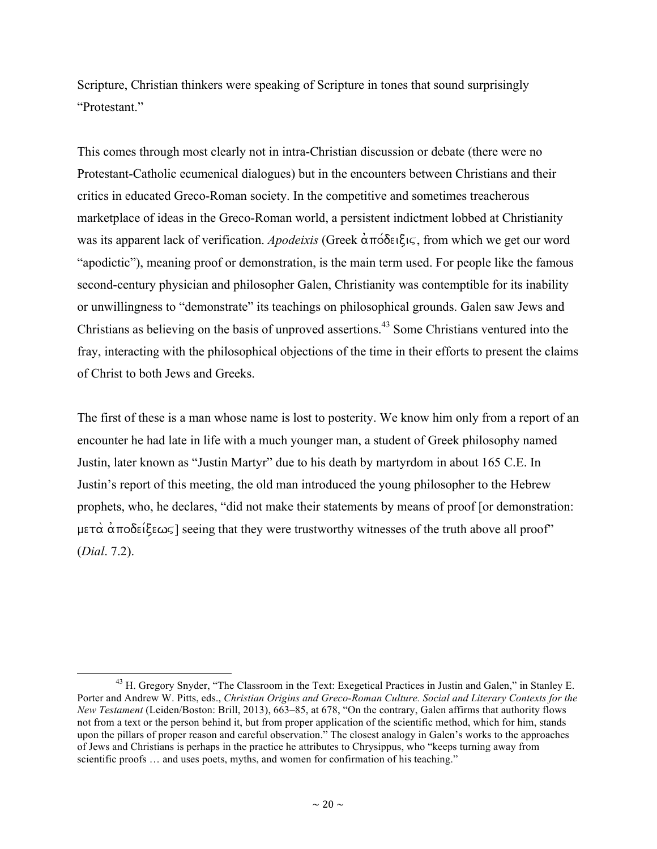Scripture, Christian thinkers were speaking of Scripture in tones that sound surprisingly "Protestant."

This comes through most clearly not in intra-Christian discussion or debate (there were no Protestant-Catholic ecumenical dialogues) but in the encounters between Christians and their critics in educated Greco-Roman society. In the competitive and sometimes treacherous marketplace of ideas in the Greco-Roman world, a persistent indictment lobbed at Christianity was its apparent lack of verification. *Apodeixis* (Greek απόδειξις, from which we get our word "apodictic"), meaning proof or demonstration, is the main term used. For people like the famous second-century physician and philosopher Galen, Christianity was contemptible for its inability or unwillingness to "demonstrate" its teachings on philosophical grounds. Galen saw Jews and Christians as believing on the basis of unproved assertions. <sup>43</sup> Some Christians ventured into the fray, interacting with the philosophical objections of the time in their efforts to present the claims of Christ to both Jews and Greeks.

The first of these is a man whose name is lost to posterity. We know him only from a report of an encounter he had late in life with a much younger man, a student of Greek philosophy named Justin, later known as "Justin Martyr" due to his death by martyrdom in about 165 C.E. In Justin's report of this meeting, the old man introduced the young philosopher to the Hebrew prophets, who, he declares, "did not make their statements by means of proof [or demonstration:  $\mu \in \mathbb{R}$   $\alpha$   $\sigma$   $\alpha$   $\beta$  are  $\alpha$  seeing that they were trustworthy witnesses of the truth above all proof" (*Dial*. 7.2).

<sup>&</sup>lt;sup>43</sup> H. Gregory Snyder, "The Classroom in the Text: Exegetical Practices in Justin and Galen," in Stanley E. Porter and Andrew W. Pitts, eds., *Christian Origins and Greco-Roman Culture. Social and Literary Contexts for the New Testament* (Leiden/Boston: Brill, 2013), 663–85, at 678, "On the contrary, Galen affirms that authority flows not from a text or the person behind it, but from proper application of the scientific method, which for him, stands upon the pillars of proper reason and careful observation." The closest analogy in Galen's works to the approaches of Jews and Christians is perhaps in the practice he attributes to Chrysippus, who "keeps turning away from scientific proofs ... and uses poets, myths, and women for confirmation of his teaching."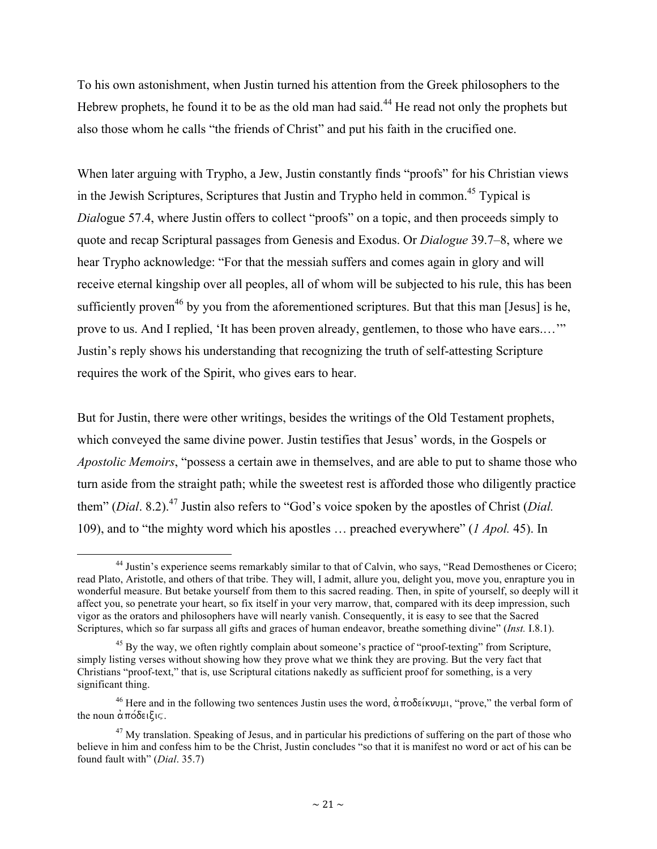To his own astonishment, when Justin turned his attention from the Greek philosophers to the Hebrew prophets, he found it to be as the old man had said.<sup>44</sup> He read not only the prophets but also those whom he calls "the friends of Christ" and put his faith in the crucified one.

When later arguing with Trypho, a Jew, Justin constantly finds "proofs" for his Christian views in the Jewish Scriptures, Scriptures that Justin and Trypho held in common.<sup>45</sup> Typical is *Dial*ogue 57.4, where Justin offers to collect "proofs" on a topic, and then proceeds simply to quote and recap Scriptural passages from Genesis and Exodus. Or *Dialogue* 39.7–8, where we hear Trypho acknowledge: "For that the messiah suffers and comes again in glory and will receive eternal kingship over all peoples, all of whom will be subjected to his rule, this has been sufficiently proven<sup>46</sup> by you from the aforementioned scriptures. But that this man [Jesus] is he, prove to us. And I replied, 'It has been proven already, gentlemen, to those who have ears....'" Justin's reply shows his understanding that recognizing the truth of self-attesting Scripture requires the work of the Spirit, who gives ears to hear.

But for Justin, there were other writings, besides the writings of the Old Testament prophets, which conveyed the same divine power. Justin testifies that Jesus' words, in the Gospels or *Apostolic Memoirs*, "possess a certain awe in themselves, and are able to put to shame those who turn aside from the straight path; while the sweetest rest is afforded those who diligently practice them" (*Dial*. 8.2). <sup>47</sup> Justin also refers to "God's voice spoken by the apostles of Christ (*Dial.* 109), and to "the mighty word which his apostles … preached everywhere" (*1 Apol.* 45). In

<sup>&</sup>lt;sup>44</sup> Justin's experience seems remarkably similar to that of Calvin, who says, "Read Demosthenes or Cicero; read Plato, Aristotle, and others of that tribe. They will, I admit, allure you, delight you, move you, enrapture you in wonderful measure. But betake yourself from them to this sacred reading. Then, in spite of yourself, so deeply will it affect you, so penetrate your heart, so fix itself in your very marrow, that, compared with its deep impression, such vigor as the orators and philosophers have will nearly vanish. Consequently, it is easy to see that the Sacred Scriptures, which so far surpass all gifts and graces of human endeavor, breathe something divine" (*Inst.* I.8.1).

 $^{45}$  By the way, we often rightly complain about someone's practice of "proof-texting" from Scripture, simply listing verses without showing how they prove what we think they are proving. But the very fact that Christians "proof-text," that is, use Scriptural citations nakedly as sufficient proof for something, is a very significant thing.

<sup>&</sup>lt;sup>46</sup> Here and in the following two sentences Justin uses the word,  $\alpha \pi o \delta \epsilon$  (knumi, "prove," the verbal form of the noun  $\alpha$ πόδειξις.

 $47$  My translation. Speaking of Jesus, and in particular his predictions of suffering on the part of those who believe in him and confess him to be the Christ, Justin concludes "so that it is manifest no word or act of his can be found fault with" (*Dial*. 35.7)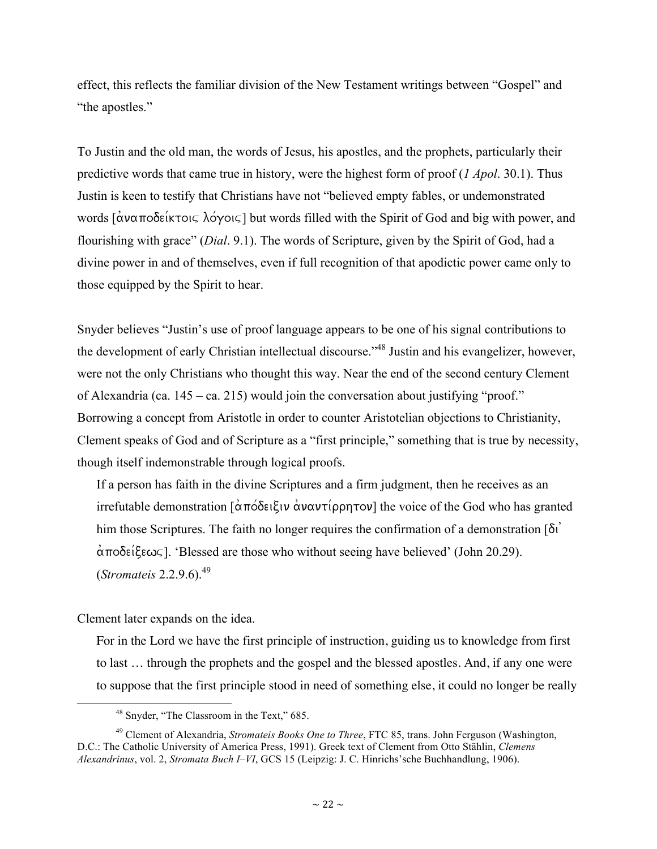effect, this reflects the familiar division of the New Testament writings between "Gospel" and "the apostles."

To Justin and the old man, the words of Jesus, his apostles, and the prophets, particularly their predictive words that came true in history, were the highest form of proof (*1 Apol*. 30.1). Thus Justin is keen to testify that Christians have not "believed empty fables, or undemonstrated words  $\left[\alpha$ ναποδείκτοις λόγοις] but words filled with the Spirit of God and big with power, and flourishing with grace" (*Dial*. 9.1). The words of Scripture, given by the Spirit of God, had a divine power in and of themselves, even if full recognition of that apodictic power came only to those equipped by the Spirit to hear.

Snyder believes "Justin's use of proof language appears to be one of his signal contributions to the development of early Christian intellectual discourse."<sup>48</sup> Justin and his evangelizer, however, were not the only Christians who thought this way. Near the end of the second century Clement of Alexandria (ca. 145 – ca. 215) would join the conversation about justifying "proof." Borrowing a concept from Aristotle in order to counter Aristotelian objections to Christianity, Clement speaks of God and of Scripture as a "first principle," something that is true by necessity, though itself indemonstrable through logical proofs.

If a person has faith in the divine Scriptures and a firm judgment, then he receives as an irrefutable demonstration  $\left[\alpha\pi\right]$   $\left[\alpha\pi\right]$   $\left[\alpha\pi\right]$   $\left[\alpha\pi\right]$   $\left[\alpha\pi\right]$   $\left[\alpha\pi\right]$   $\left[\alpha\pi\right]$   $\left[\alpha\pi\right]$   $\left[\alpha\pi\right]$   $\left[\alpha\pi\right]$   $\left[\alpha\pi\right]$   $\left[\alpha\pi\right]$   $\left[\alpha\pi\right]$   $\left[\alpha\pi\right]$   $\left[\alpha\pi\right]$   $\left[\alpha\pi\right]$   $\left$ him those Scriptures. The faith no longer requires the confirmation of a demonstration  $\delta$  $\alpha$ ποδείξεως]. 'Blessed are those who without seeing have believed' (John 20.29). (*Stromateis* 2.2.9.6).<sup>49</sup>

Clement later expands on the idea.

For in the Lord we have the first principle of instruction, guiding us to knowledge from first to last … through the prophets and the gospel and the blessed apostles. And, if any one were to suppose that the first principle stood in need of something else, it could no longer be really

 <sup>48</sup> Snyder, "The Classroom in the Text," 685.

<sup>49</sup> Clement of Alexandria, *Stromateis Books One to Three*, FTC 85, trans. John Ferguson (Washington, D.C.: The Catholic University of America Press, 1991). Greek text of Clement from Otto Stählin, *Clemens Alexandrinus*, vol. 2, *Stromata Buch I–VI*, GCS 15 (Leipzig: J. C. Hinrichs'sche Buchhandlung, 1906).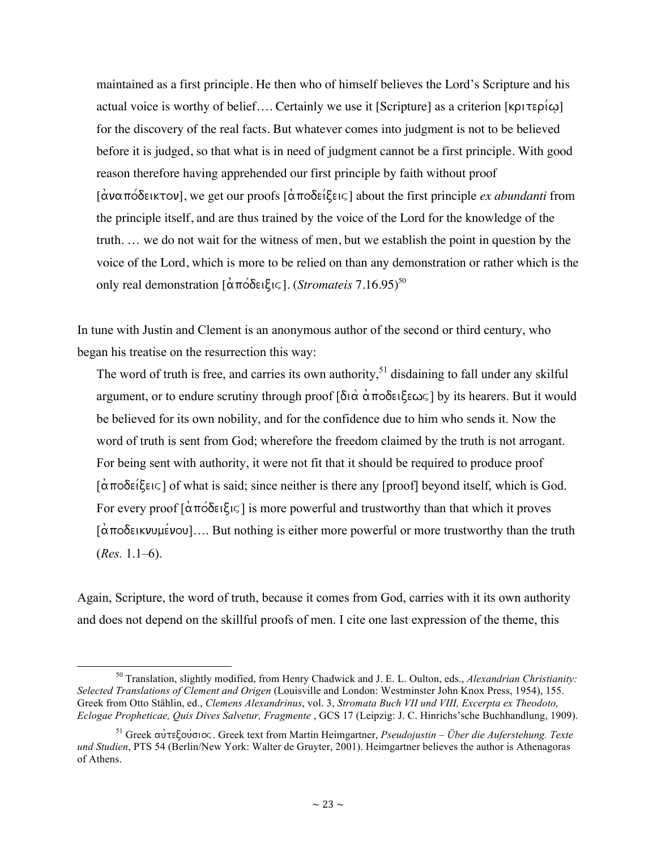maintained as a first principle. He then who of himself believes the Lord's Scripture and his actual voice is worthy of belief.... Certainly we use it [Scripture] as a criterion [kpt]  $\alpha$ ] for the discovery of the real facts. But whatever comes into judgment is not to be believed before it is judged, so that what is in need of judgment cannot be a first principle. With good reason therefore having apprehended our first principle by faith without proof  $\lceil \alpha v \alpha \pi \right|$  we get our proofs  $\lceil \alpha \pi \right|$  about the first principle *ex abundanti* from the principle itself, and are thus trained by the voice of the Lord for the knowledge of the truth. … we do not wait for the witness of men, but we establish the point in question by the voice of the Lord, which is more to be relied on than any demonstration or rather which is the only real demonstration  $\left[\alpha\pi\right]\left(\delta\tau\right)$ . (*Stromateis* 7.16.95)<sup>50</sup>

In tune with Justin and Clement is an anonymous author of the second or third century, who began his treatise on the resurrection this way:

The word of truth is free, and carries its own authority,<sup>51</sup> disdaining to fall under any skilful argument, or to endure scrutiny through proof  $\delta\alpha \dot{\alpha} \pi \delta \epsilon \epsilon \delta \epsilon$  by its hearers. But it would be believed for its own nobility, and for the confidence due to him who sends it. Now the word of truth is sent from God; wherefore the freedom claimed by the truth is not arrogant. For being sent with authority, it were not fit that it should be required to produce proof  $\lceil \alpha \pi \circ \delta \varepsilon$  ( $\xi \in \lceil \alpha \pi \circ \delta \varepsilon \rceil$ ) of what is said; since neither is there any [proof] beyond itself, which is God. For every proof  $\left[\alpha \pi \right]$  and  $\alpha$  is more powerful and trustworthy than that which it proves  $\alpha$ <sup>o</sup>  $\alpha$ <sup>o</sup>  $\beta$  and  $\beta$  and  $\beta$  is either more powerful or more trustworthy than the truth (*Res.* 1.1–6).

Again, Scripture, the word of truth, because it comes from God, carries with it its own authority and does not depend on the skillful proofs of men. I cite one last expression of the theme, this

 <sup>50</sup> Translation, slightly modified, from Henry Chadwick and J. E. L. Oulton, eds., *Alexandrian Christianity: Selected Translations of Clement and Origen* (Louisville and London: Westminster John Knox Press, 1954), 155. Greek from Otto Stählin, ed., *Clemens Alexandrinus*, vol. 3, *Stromata Buch VII und VIII, Excerpta ex Theodoto, Eclogae Propheticae, Quis Dives Salvetur, Fragmente* , GCS 17 (Leipzig: J. C. Hinrichs'sche Buchhandlung, 1909).

<sup>&</sup>lt;sup>51</sup> Greek αὐτεξούσιος. Greek text from Martin Heimgartner, *Pseudojustin – Über die Auferstehung. Texte und Studien*, PTS 54 (Berlin/New York: Walter de Gruyter, 2001). Heimgartner believes the author is Athenagoras of Athens.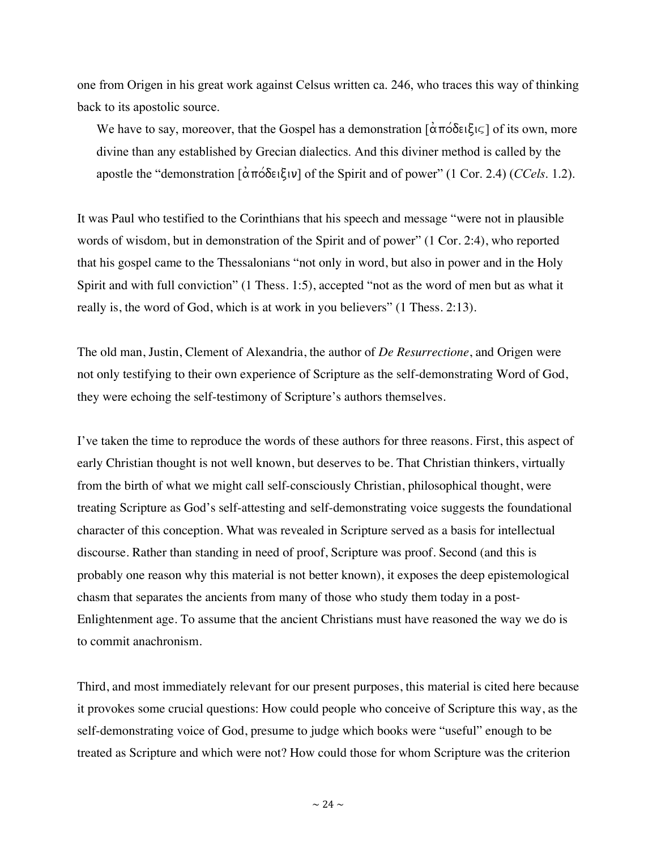one from Origen in his great work against Celsus written ca. 246, who traces this way of thinking back to its apostolic source.

We have to say, moreover, that the Gospel has a demonstration  $\lceil \alpha \pi \circ \delta \varepsilon \cdot \xi \rceil$  of its own, more divine than any established by Grecian dialectics. And this diviner method is called by the apostle the "demonstration  $\left[\alpha \pi \right]$  of the Spirit and of power" (1 Cor. 2.4) (*CCels.* 1.2).

It was Paul who testified to the Corinthians that his speech and message "were not in plausible words of wisdom, but in demonstration of the Spirit and of power" (1 Cor. 2:4), who reported that his gospel came to the Thessalonians "not only in word, but also in power and in the Holy Spirit and with full conviction" (1 Thess. 1:5), accepted "not as the word of men but as what it really is, the word of God, which is at work in you believers" (1 Thess. 2:13).

The old man, Justin, Clement of Alexandria, the author of *De Resurrectione*, and Origen were not only testifying to their own experience of Scripture as the self-demonstrating Word of God, they were echoing the self-testimony of Scripture's authors themselves.

I've taken the time to reproduce the words of these authors for three reasons. First, this aspect of early Christian thought is not well known, but deserves to be. That Christian thinkers, virtually from the birth of what we might call self-consciously Christian, philosophical thought, were treating Scripture as God's self-attesting and self-demonstrating voice suggests the foundational character of this conception. What was revealed in Scripture served as a basis for intellectual discourse. Rather than standing in need of proof, Scripture was proof. Second (and this is probably one reason why this material is not better known), it exposes the deep epistemological chasm that separates the ancients from many of those who study them today in a post-Enlightenment age. To assume that the ancient Christians must have reasoned the way we do is to commit anachronism.

Third, and most immediately relevant for our present purposes, this material is cited here because it provokes some crucial questions: How could people who conceive of Scripture this way, as the self-demonstrating voice of God, presume to judge which books were "useful" enough to be treated as Scripture and which were not? How could those for whom Scripture was the criterion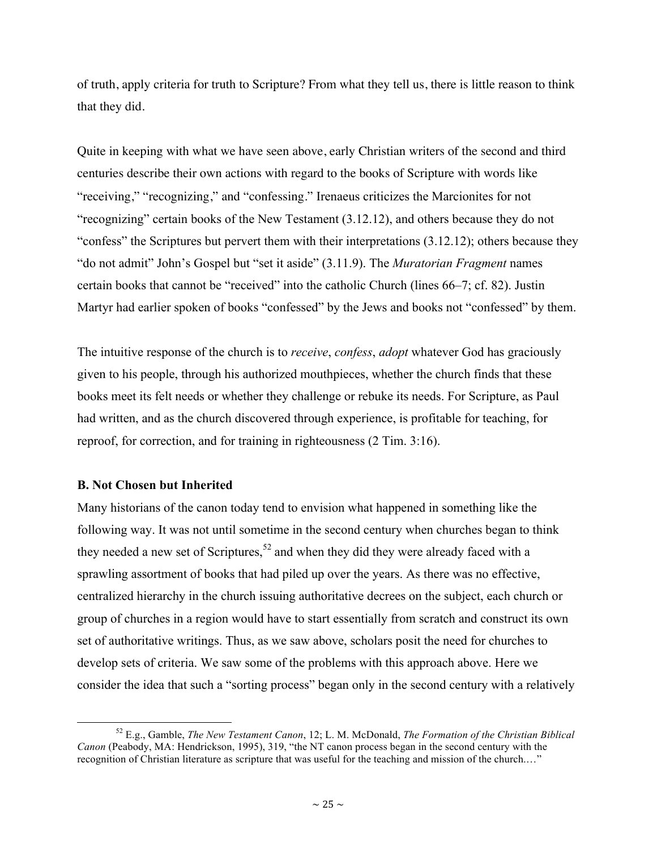of truth, apply criteria for truth to Scripture? From what they tell us, there is little reason to think that they did.

Quite in keeping with what we have seen above, early Christian writers of the second and third centuries describe their own actions with regard to the books of Scripture with words like "receiving," "recognizing," and "confessing." Irenaeus criticizes the Marcionites for not "recognizing" certain books of the New Testament (3.12.12), and others because they do not "confess" the Scriptures but pervert them with their interpretations (3.12.12); others because they "do not admit" John's Gospel but "set it aside" (3.11.9). The *Muratorian Fragment* names certain books that cannot be "received" into the catholic Church (lines 66–7; cf. 82). Justin Martyr had earlier spoken of books "confessed" by the Jews and books not "confessed" by them.

The intuitive response of the church is to *receive*, *confess*, *adopt* whatever God has graciously given to his people, through his authorized mouthpieces, whether the church finds that these books meet its felt needs or whether they challenge or rebuke its needs. For Scripture, as Paul had written, and as the church discovered through experience, is profitable for teaching, for reproof, for correction, and for training in righteousness (2 Tim. 3:16).

# **B. Not Chosen but Inherited**

Many historians of the canon today tend to envision what happened in something like the following way. It was not until sometime in the second century when churches began to think they needed a new set of Scriptures,  $52$  and when they did they were already faced with a sprawling assortment of books that had piled up over the years. As there was no effective, centralized hierarchy in the church issuing authoritative decrees on the subject, each church or group of churches in a region would have to start essentially from scratch and construct its own set of authoritative writings. Thus, as we saw above, scholars posit the need for churches to develop sets of criteria. We saw some of the problems with this approach above. Here we consider the idea that such a "sorting process" began only in the second century with a relatively

 <sup>52</sup> E.g., Gamble, *The New Testament Canon*, 12; L. M. McDonald, *The Formation of the Christian Biblical Canon* (Peabody, MA: Hendrickson, 1995), 319, "the NT canon process began in the second century with the recognition of Christian literature as scripture that was useful for the teaching and mission of the church.…"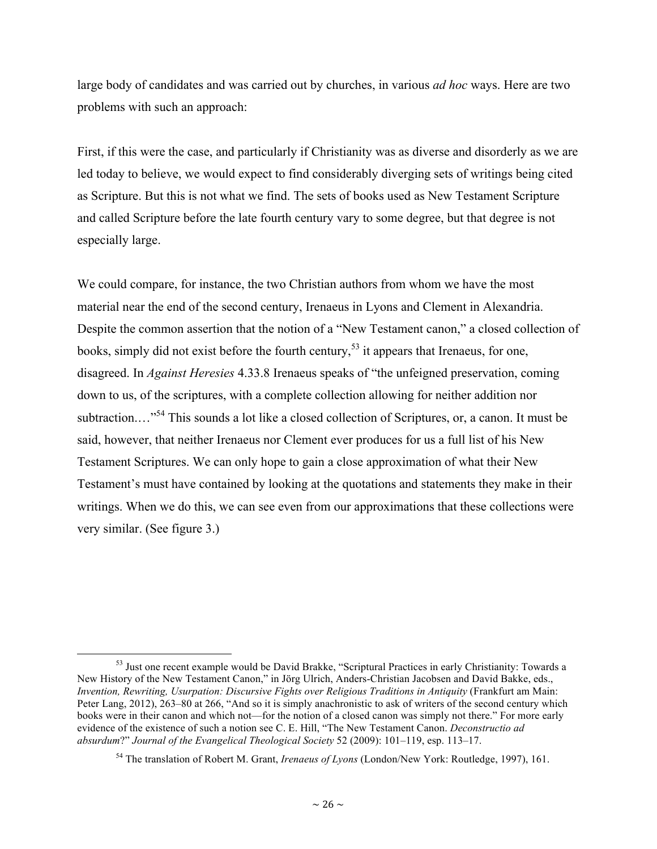large body of candidates and was carried out by churches, in various *ad hoc* ways. Here are two problems with such an approach:

First, if this were the case, and particularly if Christianity was as diverse and disorderly as we are led today to believe, we would expect to find considerably diverging sets of writings being cited as Scripture. But this is not what we find. The sets of books used as New Testament Scripture and called Scripture before the late fourth century vary to some degree, but that degree is not especially large.

We could compare, for instance, the two Christian authors from whom we have the most material near the end of the second century, Irenaeus in Lyons and Clement in Alexandria. Despite the common assertion that the notion of a "New Testament canon," a closed collection of books, simply did not exist before the fourth century,  $53$  it appears that Irenaeus, for one, disagreed. In *Against Heresies* 4.33.8 Irenaeus speaks of "the unfeigned preservation, coming down to us, of the scriptures, with a complete collection allowing for neither addition nor subtraction...."<sup>54</sup> This sounds a lot like a closed collection of Scriptures, or, a canon. It must be said, however, that neither Irenaeus nor Clement ever produces for us a full list of his New Testament Scriptures. We can only hope to gain a close approximation of what their New Testament's must have contained by looking at the quotations and statements they make in their writings. When we do this, we can see even from our approximations that these collections were very similar. (See figure 3.)

 <sup>53</sup> Just one recent example would be David Brakke, "Scriptural Practices in early Christianity: Towards a New History of the New Testament Canon," in Jörg Ulrich, Anders-Christian Jacobsen and David Bakke, eds., *Invention, Rewriting, Usurpation: Discursive Fights over Religious Traditions in Antiquity* (Frankfurt am Main: Peter Lang, 2012), 263–80 at 266, "And so it is simply anachronistic to ask of writers of the second century which books were in their canon and which not—for the notion of a closed canon was simply not there." For more early evidence of the existence of such a notion see C. E. Hill, "The New Testament Canon. *Deconstructio ad absurdum*?" *Journal of the Evangelical Theological Society* 52 (2009): 101–119, esp. 113–17.

<sup>54</sup> The translation of Robert M. Grant, *Irenaeus of Lyons* (London/New York: Routledge, 1997), 161.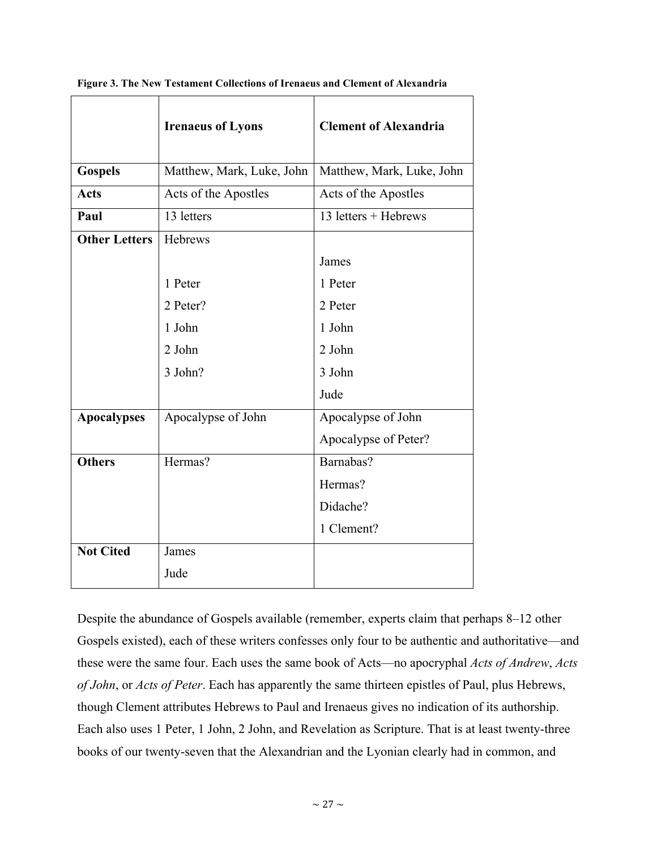|                      | <b>Irenaeus of Lyons</b>  | <b>Clement of Alexandria</b> |
|----------------------|---------------------------|------------------------------|
| <b>Gospels</b>       | Matthew, Mark, Luke, John | Matthew, Mark, Luke, John    |
| <b>Acts</b>          | Acts of the Apostles      | Acts of the Apostles         |
| Paul                 | 13 letters                | 13 letters + Hebrews         |
| <b>Other Letters</b> | Hebrews                   |                              |
|                      |                           | James                        |
|                      | 1 Peter                   | 1 Peter                      |
|                      | 2 Peter?                  | 2 Peter                      |
|                      | 1 John                    | 1 John                       |
|                      | 2 John                    | 2 John                       |
|                      | 3 John?                   | 3 John                       |
|                      |                           | Jude                         |
| <b>Apocalypses</b>   | Apocalypse of John        | Apocalypse of John           |
|                      |                           | Apocalypse of Peter?         |
| <b>Others</b>        | Hermas?                   | Barnabas?                    |
|                      |                           | Hermas?                      |
|                      |                           | Didache?                     |
|                      |                           | 1 Clement?                   |
| <b>Not Cited</b>     | James                     |                              |
|                      | Jude                      |                              |

**Figure 3. The New Testament Collections of Irenaeus and Clement of Alexandria**

Despite the abundance of Gospels available (remember, experts claim that perhaps 8–12 other Gospels existed), each of these writers confesses only four to be authentic and authoritative—and these were the same four. Each uses the same book of Acts—no apocryphal *Acts of Andrew*, *Acts of John*, or *Acts of Peter*. Each has apparently the same thirteen epistles of Paul, plus Hebrews, though Clement attributes Hebrews to Paul and Irenaeus gives no indication of its authorship. Each also uses 1 Peter, 1 John, 2 John, and Revelation as Scripture. That is at least twenty-three books of our twenty-seven that the Alexandrian and the Lyonian clearly had in common, and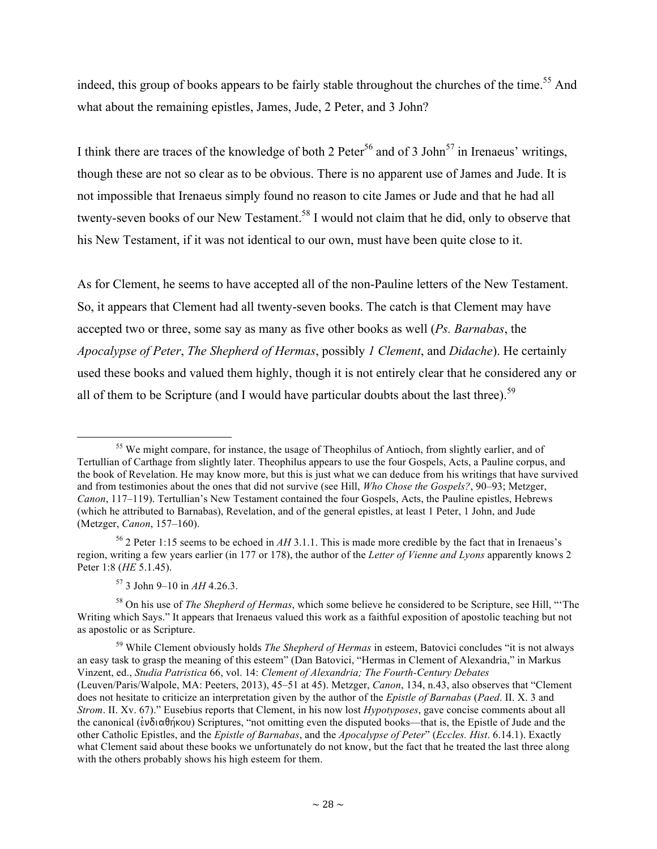indeed, this group of books appears to be fairly stable throughout the churches of the time. <sup>55</sup> And what about the remaining epistles, James, Jude, 2 Peter, and 3 John?

I think there are traces of the knowledge of both 2 Peter<sup>56</sup> and of 3 John<sup>57</sup> in Irenaeus' writings, though these are not so clear as to be obvious. There is no apparent use of James and Jude. It is not impossible that Irenaeus simply found no reason to cite James or Jude and that he had all twenty-seven books of our New Testament.<sup>58</sup> I would not claim that he did, only to observe that his New Testament, if it was not identical to our own, must have been quite close to it.

As for Clement, he seems to have accepted all of the non-Pauline letters of the New Testament. So, it appears that Clement had all twenty-seven books. The catch is that Clement may have accepted two or three, some say as many as five other books as well (*Ps. Barnabas*, the *Apocalypse of Peter*, *The Shepherd of Hermas*, possibly *1 Clement*, and *Didache*). He certainly used these books and valued them highly, though it is not entirely clear that he considered any or all of them to be Scripture (and I would have particular doubts about the last three).<sup>59</sup>

<sup>&</sup>lt;sup>55</sup> We might compare, for instance, the usage of Theophilus of Antioch, from slightly earlier, and of Tertullian of Carthage from slightly later. Theophilus appears to use the four Gospels, Acts, a Pauline corpus, and the book of Revelation. He may know more, but this is just what we can deduce from his writings that have survived and from testimonies about the ones that did not survive (see Hill, *Who Chose the Gospels?*, 90–93; Metzger, *Canon*, 117–119). Tertullian's New Testament contained the four Gospels, Acts, the Pauline epistles, Hebrews (which he attributed to Barnabas), Revelation, and of the general epistles, at least 1 Peter, 1 John, and Jude (Metzger, *Canon*, 157–160).

<sup>56</sup> 2 Peter 1:15 seems to be echoed in *AH* 3.1.1. This is made more credible by the fact that in Irenaeus's region, writing a few years earlier (in 177 or 178), the author of the *Letter of Vienne and Lyons* apparently knows 2 Peter 1:8 (*HE* 5.1.45).

<sup>57</sup> 3 John 9–10 in *AH* 4.26.3.

<sup>58</sup> On his use of *The Shepherd of Hermas*, which some believe he considered to be Scripture, see Hill, "'The Writing which Says." It appears that Irenaeus valued this work as a faithful exposition of apostolic teaching but not as apostolic or as Scripture.

<sup>59</sup> While Clement obviously holds *The Shepherd of Hermas* in esteem, Batovici concludes "it is not always an easy task to grasp the meaning of this esteem" (Dan Batovici, "Hermas in Clement of Alexandria," in Markus Vinzent, ed., *Studia Patristica* 66, vol. 14: *Clement of Alexandria; The Fourth-Century Debates* (Leuven/Paris/Walpole, MA: Peeters, 2013), 45–51 at 45). Metzger, *Canon*, 134, n.43, also observes that "Clement does not hesitate to criticize an interpretation given by the author of the *Epistle of Barnabas* (*Paed*. II. X. 3 and *Strom*. II. Xv. 67)." Eusebius reports that Clement, in his now lost *Hypotyposes*, gave concise comments about all the canonical ( $\epsilon v \delta(\alpha \theta \eta(\kappa \omega))$  Scriptures, "not omitting even the disputed books—that is, the Epistle of Jude and the other Catholic Epistles, and the *Epistle of Barnabas*, and the *Apocalypse of Peter*" (*Eccles. Hist*. 6.14.1). Exactly what Clement said about these books we unfortunately do not know, but the fact that he treated the last three along with the others probably shows his high esteem for them.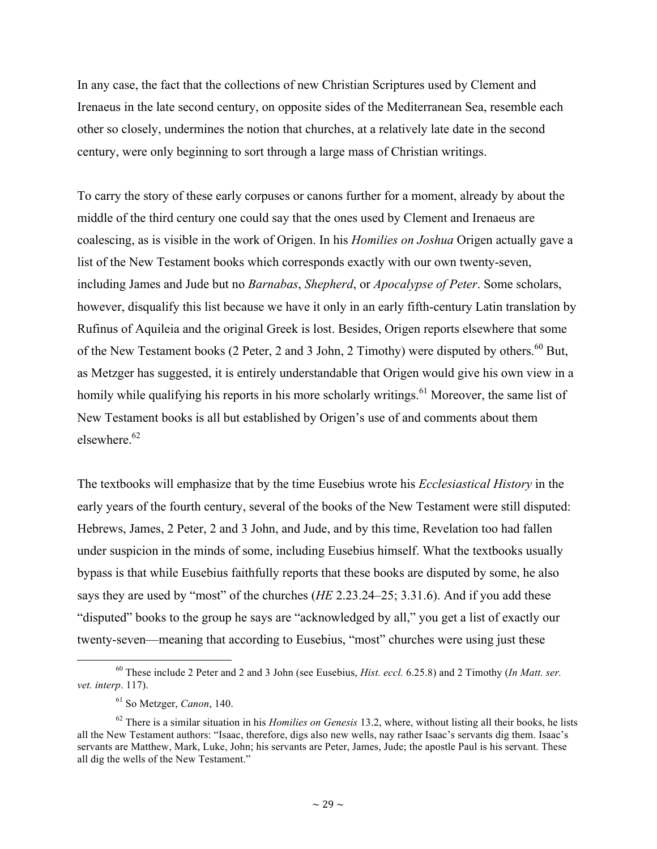In any case, the fact that the collections of new Christian Scriptures used by Clement and Irenaeus in the late second century, on opposite sides of the Mediterranean Sea, resemble each other so closely, undermines the notion that churches, at a relatively late date in the second century, were only beginning to sort through a large mass of Christian writings.

To carry the story of these early corpuses or canons further for a moment, already by about the middle of the third century one could say that the ones used by Clement and Irenaeus are coalescing, as is visible in the work of Origen. In his *Homilies on Joshua* Origen actually gave a list of the New Testament books which corresponds exactly with our own twenty-seven, including James and Jude but no *Barnabas*, *Shepherd*, or *Apocalypse of Peter*. Some scholars, however, disqualify this list because we have it only in an early fifth-century Latin translation by Rufinus of Aquileia and the original Greek is lost. Besides, Origen reports elsewhere that some of the New Testament books (2 Peter, 2 and 3 John, 2 Timothy) were disputed by others.<sup>60</sup> But, as Metzger has suggested, it is entirely understandable that Origen would give his own view in a homily while qualifying his reports in his more scholarly writings.<sup>61</sup> Moreover, the same list of New Testament books is all but established by Origen's use of and comments about them elsewhere. $62$ 

The textbooks will emphasize that by the time Eusebius wrote his *Ecclesiastical History* in the early years of the fourth century, several of the books of the New Testament were still disputed: Hebrews, James, 2 Peter, 2 and 3 John, and Jude, and by this time, Revelation too had fallen under suspicion in the minds of some, including Eusebius himself. What the textbooks usually bypass is that while Eusebius faithfully reports that these books are disputed by some, he also says they are used by "most" of the churches (*HE* 2.23.24–25; 3.31.6). And if you add these "disputed" books to the group he says are "acknowledged by all," you get a list of exactly our twenty-seven—meaning that according to Eusebius, "most" churches were using just these

 <sup>60</sup> These include 2 Peter and 2 and 3 John (see Eusebius, *Hist. eccl.* 6.25.8) and 2 Timothy (*In Matt. ser. vet. interp*. 117).

<sup>61</sup> So Metzger, *Canon*, 140.

<sup>62</sup> There is a similar situation in his *Homilies on Genesis* 13.2, where, without listing all their books, he lists all the New Testament authors: "Isaac, therefore, digs also new wells, nay rather Isaac's servants dig them. Isaac's servants are Matthew, Mark, Luke, John; his servants are Peter, James, Jude; the apostle Paul is his servant. These all dig the wells of the New Testament."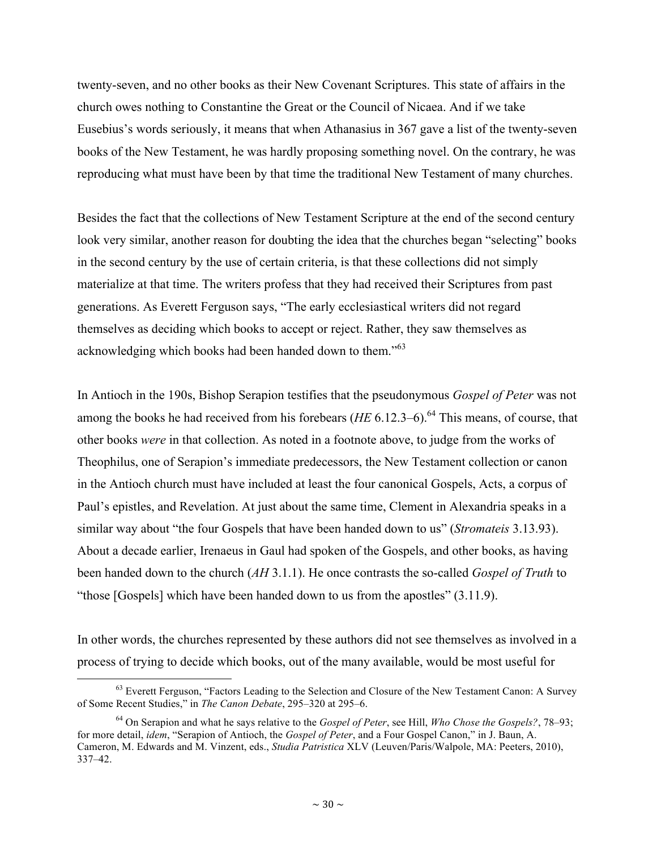twenty-seven, and no other books as their New Covenant Scriptures. This state of affairs in the church owes nothing to Constantine the Great or the Council of Nicaea. And if we take Eusebius's words seriously, it means that when Athanasius in 367 gave a list of the twenty-seven books of the New Testament, he was hardly proposing something novel. On the contrary, he was reproducing what must have been by that time the traditional New Testament of many churches.

Besides the fact that the collections of New Testament Scripture at the end of the second century look very similar, another reason for doubting the idea that the churches began "selecting" books in the second century by the use of certain criteria, is that these collections did not simply materialize at that time. The writers profess that they had received their Scriptures from past generations. As Everett Ferguson says, "The early ecclesiastical writers did not regard themselves as deciding which books to accept or reject. Rather, they saw themselves as acknowledging which books had been handed down to them."<sup>63</sup>

In Antioch in the 190s, Bishop Serapion testifies that the pseudonymous *Gospel of Peter* was not among the books he had received from his forebears (*HE* 6.12.3–6).<sup>64</sup> This means, of course, that other books *were* in that collection. As noted in a footnote above, to judge from the works of Theophilus, one of Serapion's immediate predecessors, the New Testament collection or canon in the Antioch church must have included at least the four canonical Gospels, Acts, a corpus of Paul's epistles, and Revelation. At just about the same time, Clement in Alexandria speaks in a similar way about "the four Gospels that have been handed down to us" (*Stromateis* 3.13.93). About a decade earlier, Irenaeus in Gaul had spoken of the Gospels, and other books, as having been handed down to the church (*AH* 3.1.1). He once contrasts the so-called *Gospel of Truth* to "those [Gospels] which have been handed down to us from the apostles" (3.11.9).

In other words, the churches represented by these authors did not see themselves as involved in a process of trying to decide which books, out of the many available, would be most useful for

 $<sup>63</sup>$  Everett Ferguson, "Factors Leading to the Selection and Closure of the New Testament Canon: A Survey</sup> of Some Recent Studies," in *The Canon Debate*, 295–320 at 295–6.

<sup>64</sup> On Serapion and what he says relative to the *Gospel of Peter*, see Hill, *Who Chose the Gospels?*, 78–93; for more detail, *idem*, "Serapion of Antioch, the *Gospel of Peter*, and a Four Gospel Canon," in J. Baun, A. Cameron, M. Edwards and M. Vinzent, eds., *Studia Patristica* XLV (Leuven/Paris/Walpole, MA: Peeters, 2010), 337–42.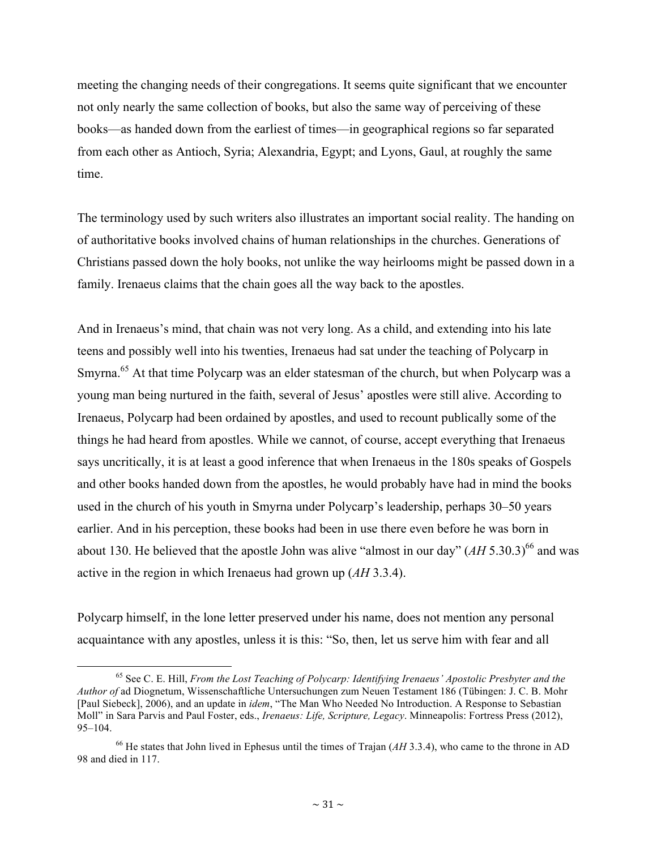meeting the changing needs of their congregations. It seems quite significant that we encounter not only nearly the same collection of books, but also the same way of perceiving of these books—as handed down from the earliest of times—in geographical regions so far separated from each other as Antioch, Syria; Alexandria, Egypt; and Lyons, Gaul, at roughly the same time.

The terminology used by such writers also illustrates an important social reality. The handing on of authoritative books involved chains of human relationships in the churches. Generations of Christians passed down the holy books, not unlike the way heirlooms might be passed down in a family. Irenaeus claims that the chain goes all the way back to the apostles.

And in Irenaeus's mind, that chain was not very long. As a child, and extending into his late teens and possibly well into his twenties, Irenaeus had sat under the teaching of Polycarp in Smyrna.<sup>65</sup> At that time Polycarp was an elder statesman of the church, but when Polycarp was a young man being nurtured in the faith, several of Jesus' apostles were still alive. According to Irenaeus, Polycarp had been ordained by apostles, and used to recount publically some of the things he had heard from apostles. While we cannot, of course, accept everything that Irenaeus says uncritically, it is at least a good inference that when Irenaeus in the 180s speaks of Gospels and other books handed down from the apostles, he would probably have had in mind the books used in the church of his youth in Smyrna under Polycarp's leadership, perhaps 30–50 years earlier. And in his perception, these books had been in use there even before he was born in about 130. He believed that the apostle John was alive "almost in our day"  $(AH 5.30.3)^{66}$  and was active in the region in which Irenaeus had grown up (*AH* 3.3.4).

Polycarp himself, in the lone letter preserved under his name, does not mention any personal acquaintance with any apostles, unless it is this: "So, then, let us serve him with fear and all

 <sup>65</sup> See C. E. Hill, *From the Lost Teaching of Polycarp: Identifying Irenaeus' Apostolic Presbyter and the Author of* ad Diognetum, Wissenschaftliche Untersuchungen zum Neuen Testament 186 (Tübingen: J. C. B. Mohr [Paul Siebeck], 2006), and an update in *idem*, "The Man Who Needed No Introduction. A Response to Sebastian Moll" in Sara Parvis and Paul Foster, eds., *Irenaeus: Life, Scripture, Legacy*. Minneapolis: Fortress Press (2012), 95–104.

<sup>&</sup>lt;sup>66</sup> He states that John lived in Ephesus until the times of Trajan (*AH* 3.3.4), who came to the throne in AD 98 and died in 117.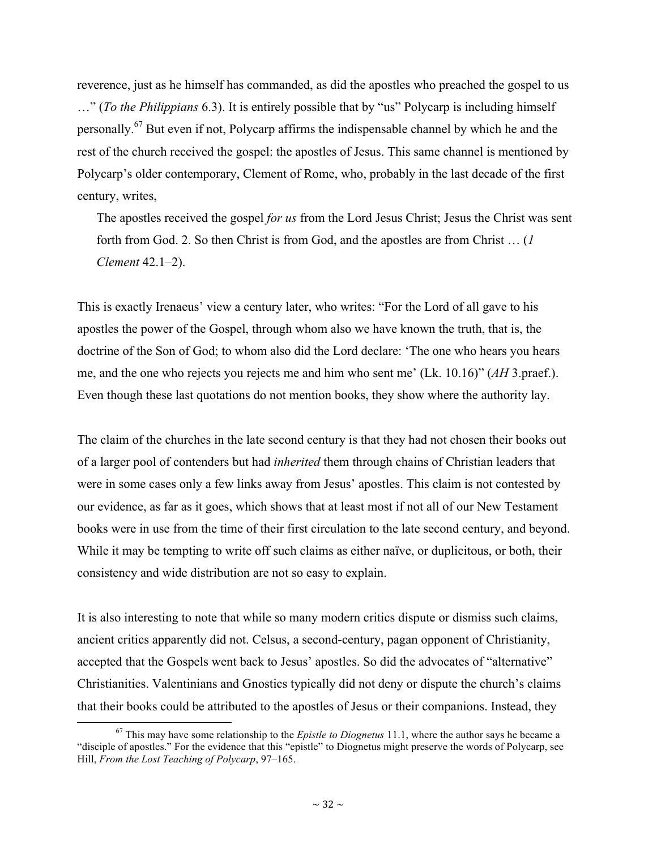reverence, just as he himself has commanded, as did the apostles who preached the gospel to us …" (*To the Philippians* 6.3). It is entirely possible that by "us" Polycarp is including himself personally.<sup>67</sup> But even if not, Polycarp affirms the indispensable channel by which he and the rest of the church received the gospel: the apostles of Jesus. This same channel is mentioned by Polycarp's older contemporary, Clement of Rome, who, probably in the last decade of the first century, writes,

The apostles received the gospel *for us* from the Lord Jesus Christ; Jesus the Christ was sent forth from God. 2. So then Christ is from God, and the apostles are from Christ … (*1 Clement* 42.1–2).

This is exactly Irenaeus' view a century later, who writes: "For the Lord of all gave to his apostles the power of the Gospel, through whom also we have known the truth, that is, the doctrine of the Son of God; to whom also did the Lord declare: 'The one who hears you hears me, and the one who rejects you rejects me and him who sent me' (Lk. 10.16)" (*AH* 3.praef.). Even though these last quotations do not mention books, they show where the authority lay.

The claim of the churches in the late second century is that they had not chosen their books out of a larger pool of contenders but had *inherited* them through chains of Christian leaders that were in some cases only a few links away from Jesus' apostles. This claim is not contested by our evidence, as far as it goes, which shows that at least most if not all of our New Testament books were in use from the time of their first circulation to the late second century, and beyond. While it may be tempting to write off such claims as either naïve, or duplicitous, or both, their consistency and wide distribution are not so easy to explain.

It is also interesting to note that while so many modern critics dispute or dismiss such claims, ancient critics apparently did not. Celsus, a second-century, pagan opponent of Christianity, accepted that the Gospels went back to Jesus' apostles. So did the advocates of "alternative" Christianities. Valentinians and Gnostics typically did not deny or dispute the church's claims that their books could be attributed to the apostles of Jesus or their companions. Instead, they

 <sup>67</sup> This may have some relationship to the *Epistle to Diognetus* 11.1, where the author says he became a "disciple of apostles." For the evidence that this "epistle" to Diognetus might preserve the words of Polycarp, see Hill, *From the Lost Teaching of Polycarp*, 97–165.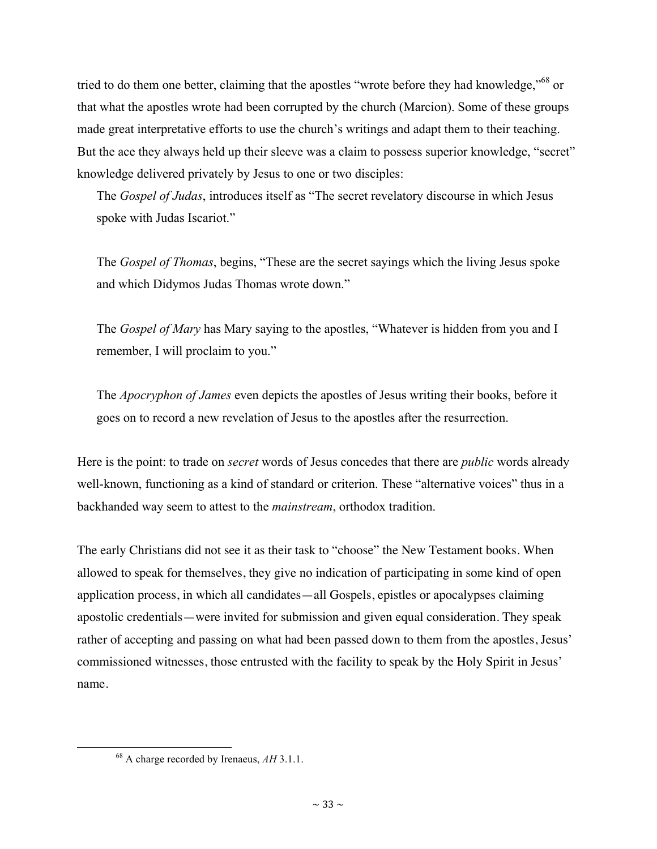tried to do them one better, claiming that the apostles "wrote before they had knowledge,"<sup>68</sup> or that what the apostles wrote had been corrupted by the church (Marcion). Some of these groups made great interpretative efforts to use the church's writings and adapt them to their teaching. But the ace they always held up their sleeve was a claim to possess superior knowledge, "secret" knowledge delivered privately by Jesus to one or two disciples:

The *Gospel of Judas*, introduces itself as "The secret revelatory discourse in which Jesus spoke with Judas Iscariot."

The *Gospel of Thomas*, begins, "These are the secret sayings which the living Jesus spoke and which Didymos Judas Thomas wrote down."

The *Gospel of Mary* has Mary saying to the apostles, "Whatever is hidden from you and I remember, I will proclaim to you."

The *Apocryphon of James* even depicts the apostles of Jesus writing their books, before it goes on to record a new revelation of Jesus to the apostles after the resurrection.

Here is the point: to trade on *secret* words of Jesus concedes that there are *public* words already well-known, functioning as a kind of standard or criterion. These "alternative voices" thus in a backhanded way seem to attest to the *mainstream*, orthodox tradition.

The early Christians did not see it as their task to "choose" the New Testament books. When allowed to speak for themselves, they give no indication of participating in some kind of open application process, in which all candidates—all Gospels, epistles or apocalypses claiming apostolic credentials—were invited for submission and given equal consideration. They speak rather of accepting and passing on what had been passed down to them from the apostles, Jesus' commissioned witnesses, those entrusted with the facility to speak by the Holy Spirit in Jesus' name.

 <sup>68</sup> A charge recorded by Irenaeus, *AH* 3.1.1.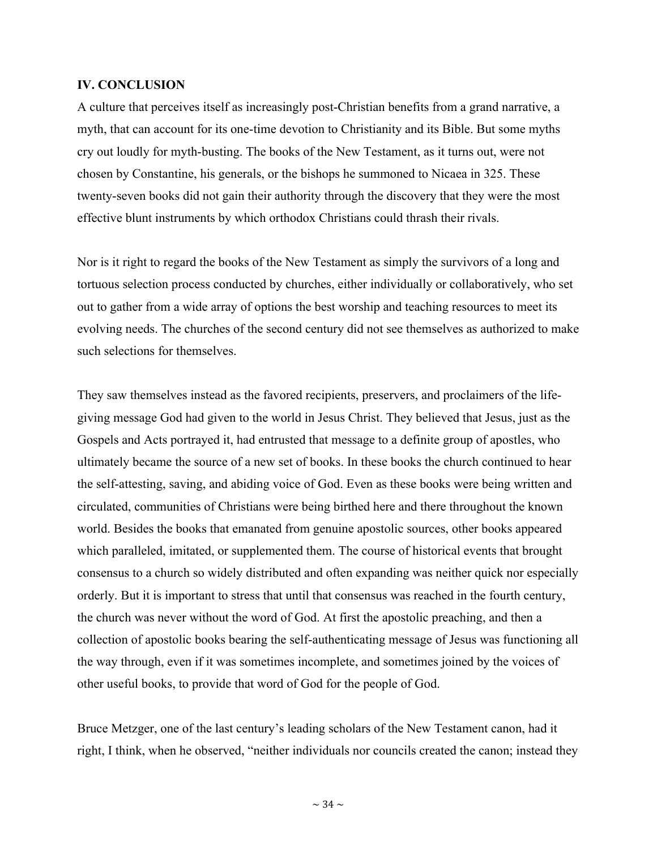#### **IV. CONCLUSION**

A culture that perceives itself as increasingly post-Christian benefits from a grand narrative, a myth, that can account for its one-time devotion to Christianity and its Bible. But some myths cry out loudly for myth-busting. The books of the New Testament, as it turns out, were not chosen by Constantine, his generals, or the bishops he summoned to Nicaea in 325. These twenty-seven books did not gain their authority through the discovery that they were the most effective blunt instruments by which orthodox Christians could thrash their rivals.

Nor is it right to regard the books of the New Testament as simply the survivors of a long and tortuous selection process conducted by churches, either individually or collaboratively, who set out to gather from a wide array of options the best worship and teaching resources to meet its evolving needs. The churches of the second century did not see themselves as authorized to make such selections for themselves.

They saw themselves instead as the favored recipients, preservers, and proclaimers of the lifegiving message God had given to the world in Jesus Christ. They believed that Jesus, just as the Gospels and Acts portrayed it, had entrusted that message to a definite group of apostles, who ultimately became the source of a new set of books. In these books the church continued to hear the self-attesting, saving, and abiding voice of God. Even as these books were being written and circulated, communities of Christians were being birthed here and there throughout the known world. Besides the books that emanated from genuine apostolic sources, other books appeared which paralleled, imitated, or supplemented them. The course of historical events that brought consensus to a church so widely distributed and often expanding was neither quick nor especially orderly. But it is important to stress that until that consensus was reached in the fourth century, the church was never without the word of God. At first the apostolic preaching, and then a collection of apostolic books bearing the self-authenticating message of Jesus was functioning all the way through, even if it was sometimes incomplete, and sometimes joined by the voices of other useful books, to provide that word of God for the people of God.

Bruce Metzger, one of the last century's leading scholars of the New Testament canon, had it right, I think, when he observed, "neither individuals nor councils created the canon; instead they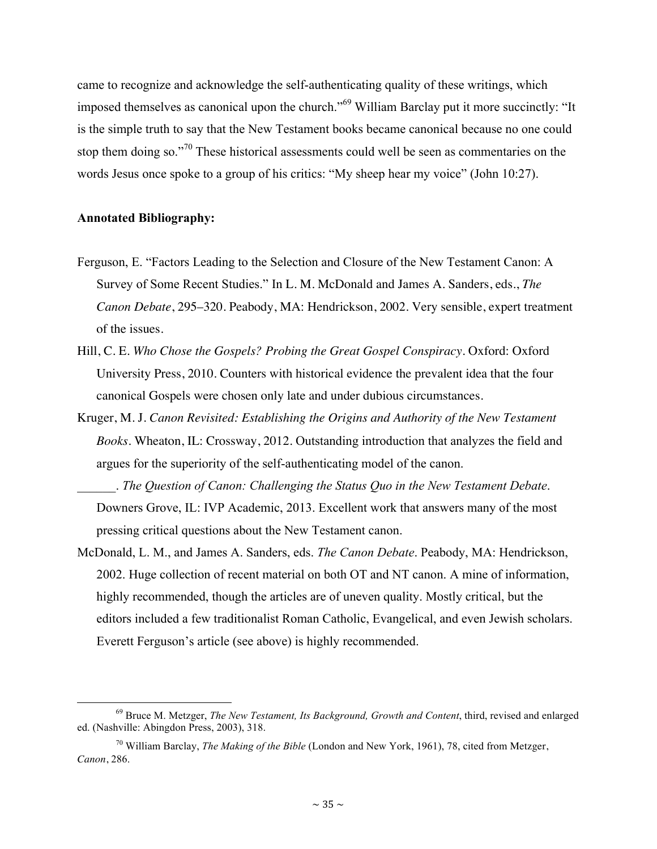came to recognize and acknowledge the self-authenticating quality of these writings, which imposed themselves as canonical upon the church."<sup>69</sup> William Barclay put it more succinctly: "It is the simple truth to say that the New Testament books became canonical because no one could stop them doing so."<sup>70</sup> These historical assessments could well be seen as commentaries on the words Jesus once spoke to a group of his critics: "My sheep hear my voice" (John 10:27).

#### **Annotated Bibliography:**

- Ferguson, E. "Factors Leading to the Selection and Closure of the New Testament Canon: A Survey of Some Recent Studies." In L. M. McDonald and James A. Sanders, eds., *The Canon Debate*, 295–320. Peabody, MA: Hendrickson, 2002. Very sensible, expert treatment of the issues.
- Hill, C. E. *Who Chose the Gospels? Probing the Great Gospel Conspiracy*. Oxford: Oxford University Press, 2010. Counters with historical evidence the prevalent idea that the four canonical Gospels were chosen only late and under dubious circumstances.
- Kruger, M. J. *Canon Revisited: Establishing the Origins and Authority of the New Testament Books*. Wheaton, IL: Crossway, 2012. Outstanding introduction that analyzes the field and argues for the superiority of the self-authenticating model of the canon.
- \_\_\_\_\_\_. *The Question of Canon: Challenging the Status Quo in the New Testament Debate*. Downers Grove, IL: IVP Academic, 2013. Excellent work that answers many of the most pressing critical questions about the New Testament canon.
- McDonald, L. M., and James A. Sanders, eds. *The Canon Debate*. Peabody, MA: Hendrickson, 2002. Huge collection of recent material on both OT and NT canon. A mine of information, highly recommended, though the articles are of uneven quality. Mostly critical, but the editors included a few traditionalist Roman Catholic, Evangelical, and even Jewish scholars. Everett Ferguson's article (see above) is highly recommended.

 <sup>69</sup> Bruce M. Metzger, *The New Testament, Its Background, Growth and Content*, third, revised and enlarged ed. (Nashville: Abingdon Press, 2003), 318.

<sup>70</sup> William Barclay, *The Making of the Bible* (London and New York, 1961), 78, cited from Metzger, *Canon*, 286.